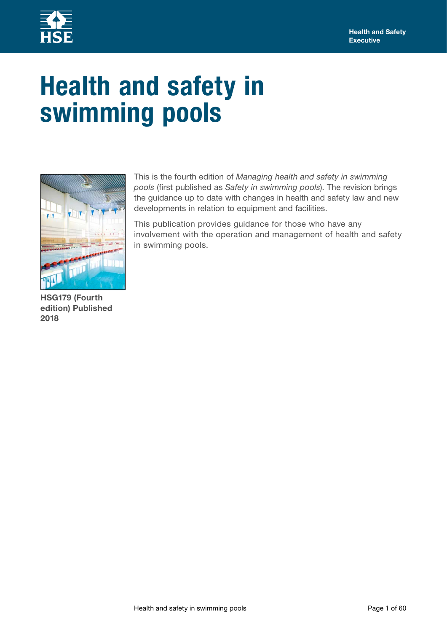

# **Health and safety in swimming pools**



This is the fourth edition of *Managing health and safety in swimming pools* (first published as *Safety in swimming pools*). The revision brings the guidance up to date with changes in health and safety law and new developments in relation to equipment and facilities.

This publication provides guidance for those who have any involvement with the operation and management of health and safety in swimming pools.

**HSG179 (Fourth edition) Published 2018**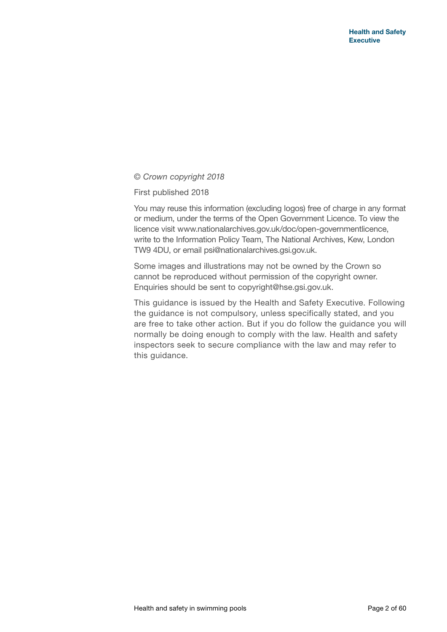© *Crown copyright 2018*

First published 2018

You may reuse this information (excluding logos) free of charge in any format or medium, under the terms of the Open Government Licence. To view the licence visit<www.nationalarchives.gov.uk/doc/open>-governmentlicence, write to the Information Policy Team, The National Archives, Kew, London TW9 4DU, or email [psi@nationalarchives.gsi.gov.uk](mailto:psi@nationalarchives.gsi.gov.uk).

Some images and illustrations may not be owned by the Crown so cannot be reproduced without permission of the copyright owner. Enquiries should be sent to [copyright@hse.gsi.gov.uk](mailto:copyright@hse.gsi.gov.uk).

This guidance is issued by the Health and Safety Executive. Following the guidance is not compulsory, unless specifically stated, and you are free to take other action. But if you do follow the guidance you will normally be doing enough to comply with the law. Health and safety inspectors seek to secure compliance with the law and may refer to this guidance.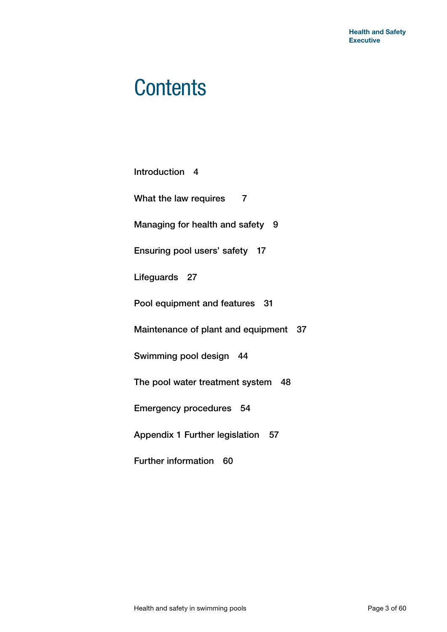## **Contents**

| Introduction 4                          |  |  |  |  |
|-----------------------------------------|--|--|--|--|
| What the law requires<br>$\overline{7}$ |  |  |  |  |
| Managing for health and safety 9        |  |  |  |  |
| Ensuring pool users' safety 17          |  |  |  |  |
| Lifeguards 27                           |  |  |  |  |
| Pool equipment and features 31          |  |  |  |  |
| Maintenance of plant and equipment 37   |  |  |  |  |
| Swimming pool design 44                 |  |  |  |  |
| The pool water treatment system 48      |  |  |  |  |
| Emergency procedures 54                 |  |  |  |  |
| Appendix 1 Further legislation 57       |  |  |  |  |
| <b>Further information</b><br>60        |  |  |  |  |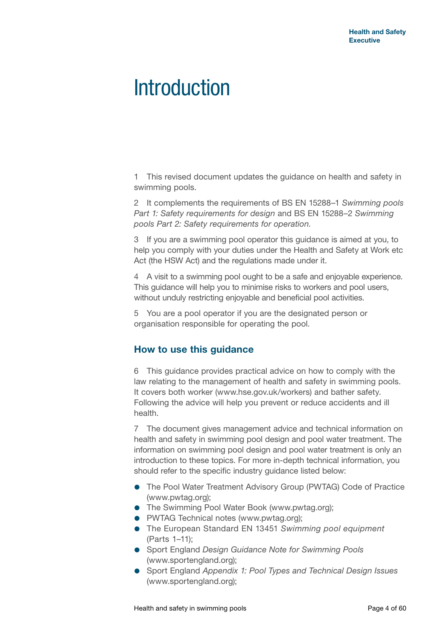## **Introduction**

1 This revised document updates the guidance on health and safety in swimming pools.

2 It complements the requirements of BS EN 15288–1 *Swimming pools Part 1: Safety requirements for design* and BS EN 15288–2 *Swimming pools Part 2: Safety requirements for operation*.

3 If you are a swimming pool operator this guidance is aimed at you, to help you comply with your duties under the Health and Safety at Work etc Act (the HSW Act) and the regulations made under it.

4 A visit to a swimming pool ought to be a safe and enjoyable experience. This guidance will help you to minimise risks to workers and pool users, without unduly restricting enjoyable and beneficial pool activities.

5 You are a pool operator if you are the designated person or organisation responsible for operating the pool.

## **How to use this guidance**

6 This guidance provides practical advice on how to comply with the law relating to the management of health and safety in swimming pools. It covers both worker [\(www.hse.gov.uk/workers\)](www.hse.gov.uk/workers) and bather safety. Following the advice will help you prevent or reduce accidents and ill health.

7 The document gives management advice and technical information on health and safety in swimming pool design and pool water treatment. The information on swimming pool design and pool water treatment is only an introduction to these topics. For more in-depth technical information, you should refer to the specific industry guidance listed below:

- The Pool Water Treatment Advisory Group (PWTAG) Code of Practice [\(www.pwtag.org\)](www.pwtag.org);
- **•** The Swimming Pool Water Book (<www.pwtag.org>):
- **PWTAG Technical notes [\(www.pwtag.org\)](www.pwtag.org);**
- The European Standard EN 13451 *Swimming pool equipment* (Parts 1–11);
- Sport England *Design Guidance Note for Swimming Pools* [\(www.sportengland.org](www.sportengland.org));
- Sport England *Appendix 1: Pool Types and Technical Design Issues* [\(www.sportengland.org](www.sportengland.org));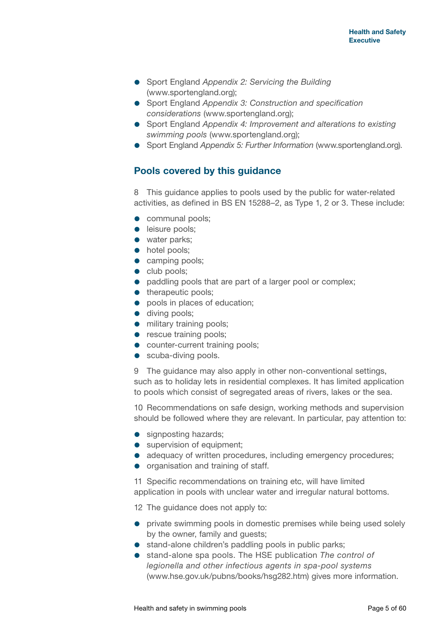- Sport England *Appendix 2: Servicing the Building* [\(www.sportengland.org](www.sportengland.org));
- Sport England *Appendix 3: Construction and specification considerations* ([www.sportengland.org\)](www.sportengland.org);
- Sport England *Appendix 4: Improvement and alterations to existing swimming pools* ([www.sportengland.org\)](www.sportengland.org);
- Sport England *Appendix 5: Further Information* [\(www.sportengland.org\)](www.sportengland.org).

## **Pools covered by this guidance**

8 This guidance applies to pools used by the public for water-related activities, as defined in BS EN 15288–2, as Type 1, 2 or 3. These include:

- **communal pools:**
- **e** leisure pools;
- water parks;
- hotel pools;
- **camping pools:**
- club pools;
- paddling pools that are part of a larger pool or complex;
- therapeutic pools:
- pools in places of education;
- **diving pools;**
- **•** military training pools;
- **•** rescue training pools;
- **•** counter-current training pools;
- **•** scuba-diving pools.

9 The guidance may also apply in other non-conventional settings, such as to holiday lets in residential complexes. It has limited application to pools which consist of segregated areas of rivers, lakes or the sea.

10 Recommendations on safe design, working methods and supervision should be followed where they are relevant. In particular, pay attention to:

- **•** signposting hazards;
- supervision of equipment;
- adequacy of written procedures, including emergency procedures;
- organisation and training of staff.

11 Specific recommendations on training etc, will have limited application in pools with unclear water and irregular natural bottoms.

12 The quidance does not apply to:

- **•** private swimming pools in domestic premises while being used solely by the owner, family and guests;
- stand-alone children's paddling pools in public parks;
- stand-alone spa pools. The HSE publication *The control of legionella and other infectious agents in spa-pool systems* [\(www.hse.gov.uk/pubns/books/hsg282.htm\)](www.hse.gov.uk/pubns/books/hsg282.htm) gives more information.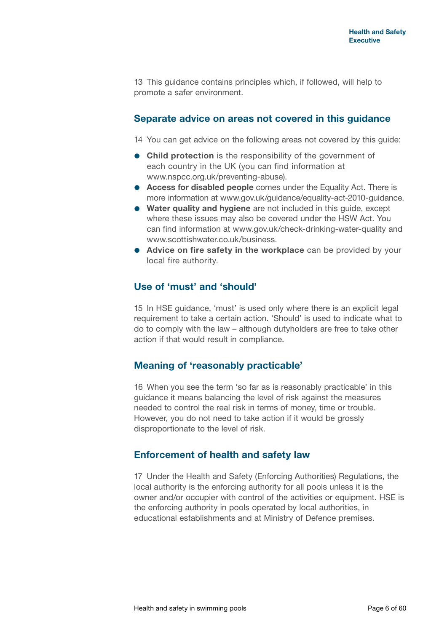13 This guidance contains principles which, if followed, will help to promote a safer environment.

#### **Separate advice on areas not covered in this guidance**

14 You can get advice on the following areas not covered by this guide:

- **Child protection** is the responsibility of the government of each country in the UK (you can find information at [www.nspcc.org.uk/preventing-](www.nspcc.org.uk/preventing)abuse).
- **Access for disabled people** comes under the Equality Act. There is more information at [www.gov.uk/guidance/equality-](www.gov.uk/guidance/equality)act-2010-guidance.
- **Water quality and hygiene** are not included in this guide, except where these issues may also be covered under the HSW Act. You can find information at [www.gov.uk/check-](www.gov.uk/check)drinking-water-quality and <www.scottishwater.co.uk/business>.
- **Advice on fire safety in the workplace** can be provided by your local fire authority.

## **Use of 'must' and 'should'**

15 In HSE guidance, 'must' is used only where there is an explicit legal requirement to take a certain action. 'Should' is used to indicate what to do to comply with the law – although dutyholders are free to take other action if that would result in compliance.

## **Meaning of 'reasonably practicable'**

16 When you see the term 'so far as is reasonably practicable' in this guidance it means balancing the level of risk against the measures needed to control the real risk in terms of money, time or trouble. However, you do not need to take action if it would be grossly disproportionate to the level of risk.

## **Enforcement of health and safety law**

17 Under the Health and Safety (Enforcing Authorities) Regulations, the local authority is the enforcing authority for all pools unless it is the owner and/or occupier with control of the activities or equipment. HSE is the enforcing authority in pools operated by local authorities, in educational establishments and at Ministry of Defence premises.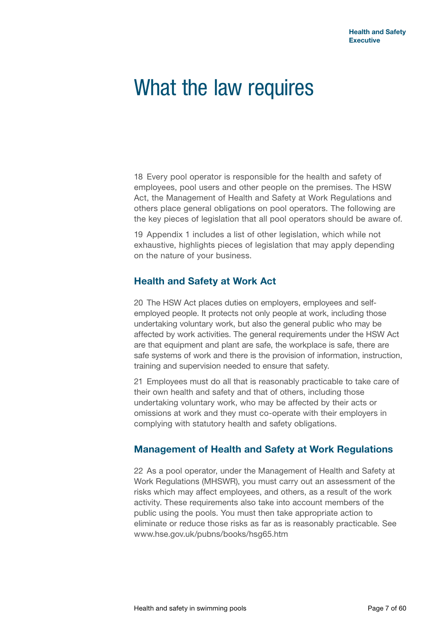## What the law requires

18 Every pool operator is responsible for the health and safety of employees, pool users and other people on the premises. The HSW Act, the Management of Health and Safety at Work Regulations and others place general obligations on pool operators. The following are the key pieces of legislation that all pool operators should be aware of.

19 Appendix 1 includes a list of other legislation, which while not exhaustive, highlights pieces of legislation that may apply depending on the nature of your business.

## **Health and Safety at Work Act**

20 The HSW Act places duties on employers, employees and selfemployed people. It protects not only people at work, including those undertaking voluntary work, but also the general public who may be affected by work activities. The general requirements under the HSW Act are that equipment and plant are safe, the workplace is safe, there are safe systems of work and there is the provision of information, instruction, training and supervision needed to ensure that safety.

21 Employees must do all that is reasonably practicable to take care of their own health and safety and that of others, including those undertaking voluntary work, who may be affected by their acts or omissions at work and they must co-operate with their employers in complying with statutory health and safety obligations.

## **Management of Health and Safety at Work Regulations**

22 As a pool operator, under the Management of Health and Safety at Work Regulations (MHSWR), you must carry out an assessment of the risks which may affect employees, and others, as a result of the work activity. These requirements also take into account members of the public using the pools. You must then take appropriate action to eliminate or reduce those risks as far as is reasonably practicable. See <www.hse.gov.uk/pubns/books/hsg65.htm>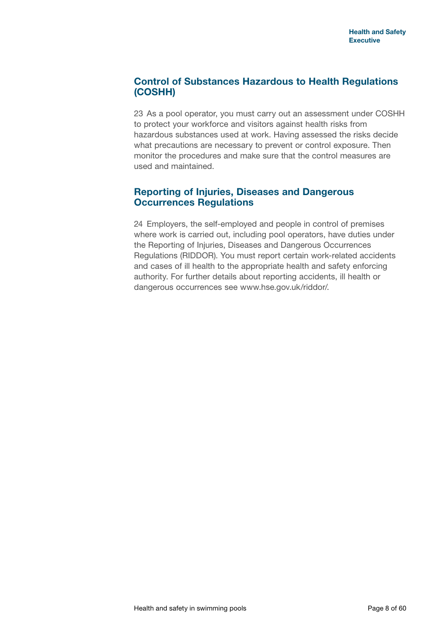## **Control of Substances Hazardous to Health Regulations (COSHH)**

23 As a pool operator, you must carry out an assessment under COSHH to protect your workforce and visitors against health risks from hazardous substances used at work. Having assessed the risks decide what precautions are necessary to prevent or control exposure. Then monitor the procedures and make sure that the control measures are used and maintained.

## **Reporting of Injuries, Diseases and Dangerous Occurrences Regulations**

24 Employers, the self-employed and people in control of premises where work is carried out, including pool operators, have duties under the Reporting of Injuries, Diseases and Dangerous Occurrences Regulations (RIDDOR). You must report certain work-related accidents and cases of ill health to the appropriate health and safety enforcing [authority. For](authority.For) further details about reporting accidents, ill health or dangerous occurrences see [www.hse.gov.uk/riddor/](www.hse.gov.uk/riddor).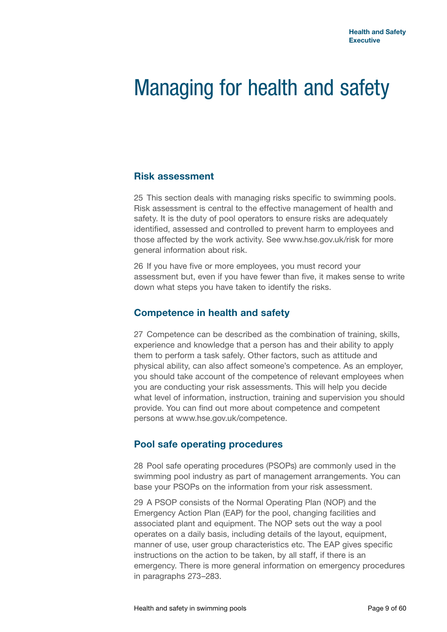## Managing for health and safety

#### **Risk assessment**

25 This section deals with managing risks specific to swimming pools. Risk assessment is central to the effective management of health and safety. It is the duty of pool operators to ensure risks are adequately identified, assessed and controlled to prevent harm to employees and those affected by the work activity. See<www.hse.gov.uk/risk>for more general information about risk.

26 If you have five or more employees, you must record your assessment but, even if you have fewer than five, it makes sense to write down what steps you have taken to identify the risks.

#### **Competence in health and safety**

27 Competence can be described as the combination of training, skills, experience and knowledge that a person has and their ability to apply them to perform a task safely. Other factors, such as attitude and physical ability, can also affect someone's competence. As an employer, you should take account of the competence of relevant employees when you are conducting your risk assessments. This will help you decide what level of information, instruction, training and supervision you should provide. You can find out more about competence and competent persons at [www.hse.gov.uk/competence.](www.hse.gov.uk/competence)

#### **Pool safe operating procedures**

28 Pool safe operating procedures (PSOPs) are commonly used in the swimming pool industry as part of management arrangements. You can base your PSOPs on the information from your risk assessment.

29 A PSOP consists of the Normal Operating Plan (NOP) and the Emergency Action Plan (EAP) for the pool, changing facilities and associated plant and equipment. The NOP sets out the way a pool operates on a daily basis, including details of the layout, equipment, manner of use, user group characteristics etc. The EAP gives specific instructions on the action to be taken, by all staff, if there is an emergency. There is more general information on emergency procedures in paragraphs 273–283.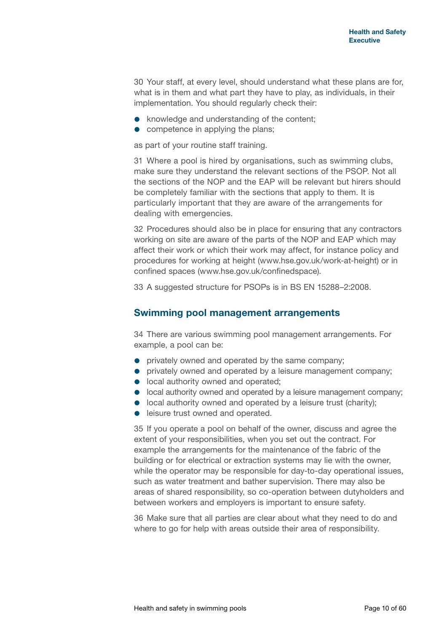30 Your staff, at every level, should understand what these plans are for, what is in them and what part they have to play, as individuals, in their implementation. You should regularly check their:

- knowledge and understanding of the content;
- competence in applying the plans;

as part of your routine staff training.

31 Where a pool is hired by organisations, such as swimming clubs, make sure they understand the relevant sections of the PSOP. Not all the sections of the NOP and the EAP will be relevant but hirers should be completely familiar with the sections that apply to them. It is particularly important that they are aware of the arrangements for dealing with emergencies.

32 Procedures should also be in place for ensuring that any contractors working on site are aware of the parts of the NOP and EAP which may affect their work or which their work may affect, for instance policy and procedures for working at height [\(www.hse.gov.uk/work-](www.hse.gov.uk/work)at-height) or in confined spaces [\(www.hse.gov.uk/confinedspace](www.hse.gov.uk/confinedspace)).

33 A suggested structure for PSOPs is in BS EN 15288–2:2008.

#### **Swimming pool management arrangements**

34 There are various swimming pool management arrangements. For example, a pool can be:

- privately owned and operated by the same company;
- **•** privately owned and operated by a leisure management company;
- **.** local authority owned and operated;
- $\bullet$  local authority owned and operated by a leisure management company;
- **.** local authority owned and operated by a leisure trust (charity);
- **e** leisure trust owned and operated.

35 If you operate a pool on behalf of the owner, discuss and agree the extent of your responsibilities, when you set out the contract. For example the arrangements for the maintenance of the fabric of the building or for electrical or extraction systems may lie with the owner, while the operator may be responsible for day-to-day operational issues, such as water treatment and bather supervision. There may also be areas of shared responsibility, so co-operation between dutyholders and between workers and employers is important to ensure safety.

36 Make sure that all parties are clear about what they need to do and where to go for help with areas outside their area of responsibility.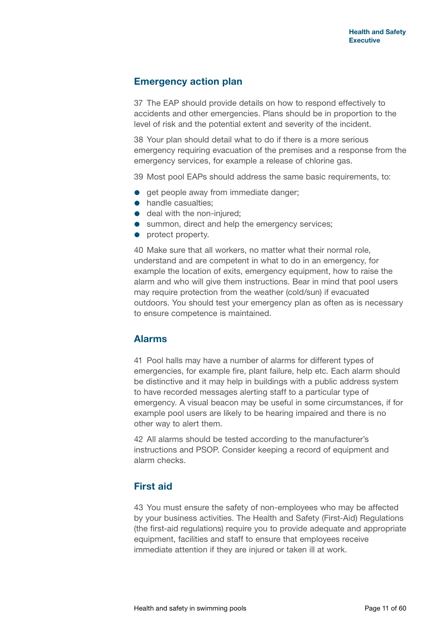#### **Emergency action plan**

37 The EAP should provide details on how to respond effectively to accidents and other emergencies. Plans should be in proportion to the level of risk and the potential extent and severity of the incident.

38 Your plan should detail what to do if there is a more serious emergency requiring evacuation of the premises and a response from the emergency services, for example a release of chlorine gas.

39 Most pool EAPs should address the same basic requirements, to:

- **e** get people away from immediate danger;
- handle casualties:
- **e** deal with the non-injured:
- **•** summon, direct and help the emergency services;
- protect property.

40 Make sure that all workers, no matter what their normal role, understand and are competent in what to do in an emergency, for example the location of exits, emergency equipment, how to raise the alarm and who will give them instructions. Bear in mind that pool users may require protection from the weather (cold/sun) if evacuated outdoors. You should test your emergency plan as often as is necessary to ensure competence is maintained.

## **Alarms**

41 Pool halls may have a number of alarms for different types of emergencies, for example fire, plant failure, help etc. Each alarm should be distinctive and it may help in buildings with a public address system to have recorded messages alerting staff to a particular type of emergency. A visual beacon may be useful in some circumstances, if for example pool users are likely to be hearing impaired and there is no other way to alert them.

42 All alarms should be tested according to the manufacturer's instructions and PSOP. Consider keeping a record of equipment and alarm checks.

## **First aid**

43 You must ensure the safety of non-employees who may be affected by your business activities. The Health and Safety (First-Aid) Regulations (the first-aid regulations) require you to provide adequate and appropriate equipment, facilities and staff to ensure that employees receive immediate attention if they are injured or taken ill at work.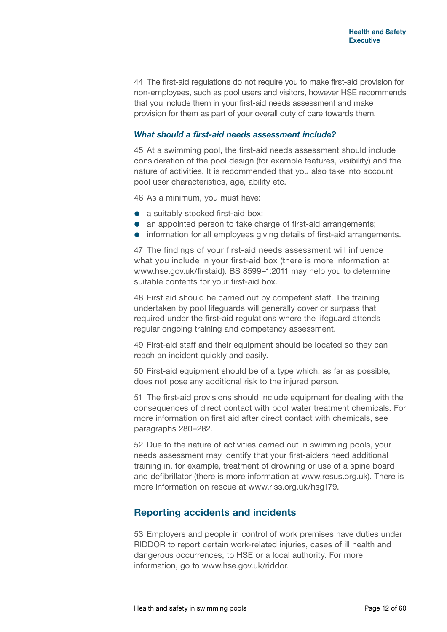44 The first-aid regulations do not require you to make first-aid provision for non-employees, such as pool users and visitors, however HSE recommends that you include them in your first-aid needs assessment and make provision for them as part of your overall duty of care towards them.

#### *What should a first-aid needs assessment include?*

45 At a swimming pool, the first-aid needs assessment should include consideration of the pool design (for example features, visibility) and the nature of activities. It is recommended that you also take into account pool user characteristics, age, ability etc.

46 As a minimum, you must have:

- a suitably stocked first-aid box:
- an appointed person to take charge of first-aid arrangements;
- information for all employees giving details of first-aid arrangements.

47 The findings of your first-aid needs assessment will influence what you include in your first-aid box (there is more information at [www.hse.gov.uk/firstaid\)](www.hse.gov.uk/firstaid). BS 8599–1:2011 may help you to determine suitable contents for your first-aid box.

48 First aid should be carried out by competent staff. The training undertaken by pool lifeguards will generally cover or surpass that required under the first-aid regulations where the lifeguard attends regular ongoing training and competency assessment.

49 First-aid staff and their equipment should be located so they can reach an incident quickly and easily.

50 First-aid equipment should be of a type which, as far as possible, does not pose any additional risk to the injured person.

51 The first-aid provisions should include equipment for dealing with the consequences of direct contact with pool water treatment chemicals. For more information on first aid after direct contact with chemicals, see paragraphs 280–282.

52 Due to the nature of activities carried out in swimming pools, your needs assessment may identify that your first-aiders need additional training in, for example, treatment of drowning or use of a spine board and defibrillator (there is more information at [www.resus.org.uk\)](www.resus.org.uk). There is more information on rescue at [www.rlss.org.uk/](www.rlss.org.uk/HSG)hsg179.

#### **Reporting accidents and incidents**

53 Employers and people in control of work premises have duties under RIDDOR to report certain work-related injuries, cases of ill health and dangerous occurrences, to HSE or a local authority. For more information, go to [www.hse.gov.uk/riddor.](www.hse.gov.uk/riddor)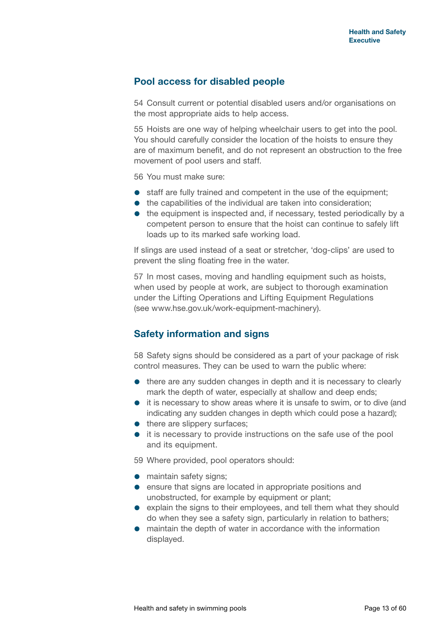#### **Pool access for disabled people**

54 Consult current or potential disabled users and/or organisations on the most appropriate aids to help access.

55 Hoists are one way of helping wheelchair users to get into the pool. You should carefully consider the location of the hoists to ensure they are of maximum benefit, and do not represent an obstruction to the free movement of pool users and staff.

56 You must make sure:

- **•** staff are fully trained and competent in the use of the equipment;
- $\bullet$  the capabilities of the individual are taken into consideration;
- the equipment is inspected and, if necessary, tested periodically by a competent person to ensure that the hoist can continue to safely lift loads up to its marked safe working load.

If slings are used instead of a seat or stretcher, 'dog-clips' are used to prevent the sling floating free in the water.

57 In most cases, moving and handling equipment such as hoists, when used by people at work, are subject to thorough examination under the Lifting Operations and Lifting Equipment Regulations (see [www.hse.gov.uk/work-](www.hse.gov.uk/work)equipment-machinery).

## **Safety information and signs**

58 Safety signs should be considered as a part of your package of risk control measures. They can be used to warn the public where:

- there are any sudden changes in depth and it is necessary to clearly mark the depth of water, especially at shallow and deep ends;
- it is necessary to show areas where it is unsafe to swim, or to dive (and indicating any sudden changes in depth which could pose a hazard);
- there are slippery surfaces;
- it is necessary to provide instructions on the safe use of the pool and its equipment.

59 Where provided, pool operators should:

- maintain safety signs:
- **e** ensure that signs are located in appropriate positions and unobstructed, for example by equipment or plant;
- explain the signs to their employees, and tell them what they should do when they see a safety sign, particularly in relation to bathers;
- maintain the depth of water in accordance with the information displayed.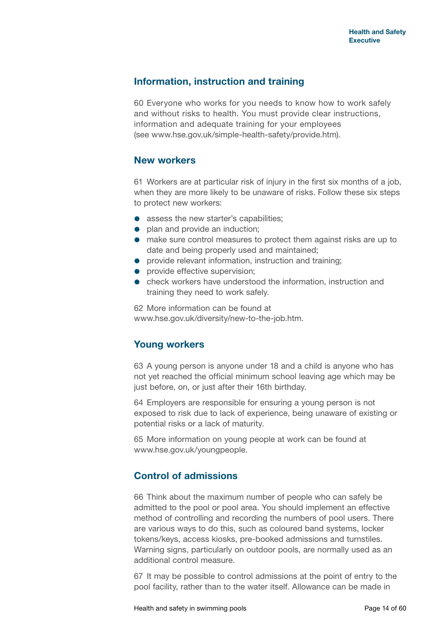#### **Information, instruction and training**

60 Everyone who works for you needs to know how to work safely and without risks to health. You must provide clear instructions, information and adequate training for your employees (see <www.hse.gov.uk/simple-health-safety/provide.htm>).

#### **New workers**

61 Workers are at particular risk of injury in the first six months of a job, when they are more likely to be unaware of risks. Follow these six steps to protect new workers:

- assess the new starter's capabilities:
- plan and provide an induction;
- make sure control measures to protect them against risks are up to date and being properly used and maintained;
- **•** provide relevant information, instruction and training:
- **•** provide effective supervision;
- check workers have understood the information, instruction and training they need to work safely.

62 More information can be found at [www.hse.gov.uk/diversity/new-to-the-job.htm.](www.hse.gov.uk/diversity/new-to-the-job.htm)

## **Young workers**

63 A young person is anyone under 18 and a child is anyone who has not yet reached the official minimum school leaving age which may be just before, on, or just after their 16th birthday.

64 Employers are responsible for ensuring a young person is not exposed to risk due to lack of experience, being unaware of existing or potential risks or a lack of maturity.

65 More information on young people at work can be found at [www.hse.gov.uk/youngpeople.](www.hse.gov.uk/youngpeople)

## **Control of admissions**

66 Think about the maximum number of people who can safely be admitted to the pool or pool area. You should implement an effective method of controlling and recording the numbers of pool users. There are various ways to do this, such as coloured band systems, locker tokens/keys, access kiosks, pre-booked admissions and turnstiles. Warning signs, particularly on outdoor pools, are normally used as an additional control measure.

67 It may be possible to control admissions at the point of entry to the pool facility, rather than to the water itself. Allowance can be made in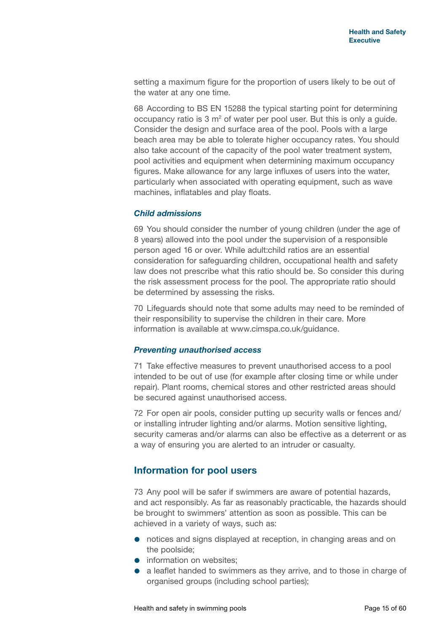setting a maximum figure for the proportion of users likely to be out of the water at any one time.

68 According to BS EN 15288 the typical starting point for determining occupancy ratio is  $3 \text{ m}^2$  of water per pool user. But this is only a guide. Consider the design and surface area of the pool. Pools with a large beach area may be able to tolerate higher occupancy rates. You should also take account of the capacity of the pool water treatment system, pool activities and equipment when determining maximum occupancy figures. Make allowance for any large influxes of users into the water, particularly when associated with operating equipment, such as wave machines, inflatables and play floats.

#### *Child admissions*

69 You should consider the number of young children (under the age of 8 years) allowed into the pool under the supervision of a responsible person aged 16 or over. While adult:child ratios are an essential consideration for safeguarding children, occupational health and safety law does not prescribe what this ratio should be. So consider this during the risk assessment process for the pool. The appropriate ratio should be determined by assessing the risks.

70 Lifeguards should note that some adults may need to be reminded of their responsibility to supervise the children in their care. More information is available at<www.cimspa.co.uk/guidance>.

#### *Preventing unauthorised access*

71 Take effective measures to prevent unauthorised access to a pool intended to be out of use (for example after closing time or while under repair). Plant rooms, chemical stores and other restricted areas should be secured against unauthorised access.

72 For open air pools, consider putting up security walls or fences and/ or installing intruder lighting and/or alarms. Motion sensitive lighting, security cameras and/or alarms can also be effective as a deterrent or as a way of ensuring you are alerted to an intruder or casualty.

## **Information for pool users**

73 Any pool will be safer if swimmers are aware of potential hazards, and act responsibly. As far as reasonably practicable, the hazards should be brought to swimmers' attention as soon as possible. This can be achieved in a variety of ways, such as:

- notices and signs displayed at reception, in changing areas and on the poolside;
- information on websites:
- a leaflet handed to swimmers as they arrive, and to those in charge of organised groups (including school parties);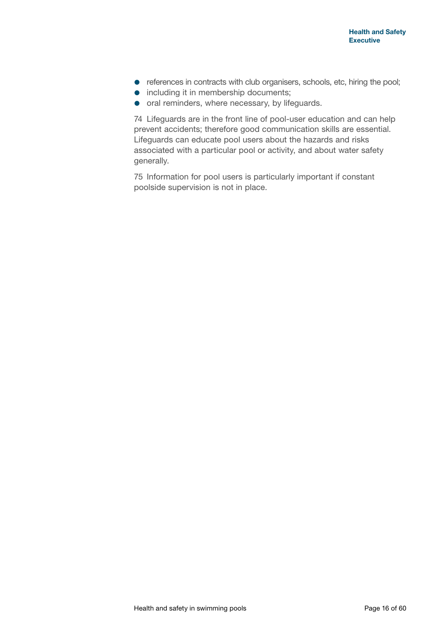- references in contracts with club organisers, schools, etc, hiring the pool;
- **•** including it in membership documents;
- oral reminders, where necessary, by lifeguards.

74 Lifeguards are in the front line of pool-user education and can help prevent accidents; therefore good communication skills are essential. Lifeguards can educate pool users about the hazards and risks associated with a particular pool or activity, and about water safety generally.

75 Information for pool users is particularly important if constant poolside supervision is not in place.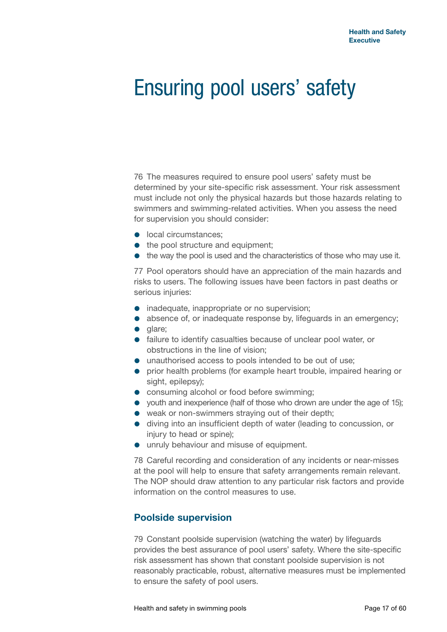## Ensuring pool users' safety

76 The measures required to ensure pool users' safety must be determined by your site-specific risk assessment. Your risk assessment must include not only the physical hazards but those hazards relating to swimmers and swimming-related activities. When you assess the need for supervision you should consider:

- **o** local circumstances:
- the pool structure and equipment:
- the way the pool is used and the characteristics of those who may use it.

77 Pool operators should have an appreciation of the main hazards and risks to users. The following issues have been factors in past deaths or serious injuries:

- inadequate, inappropriate or no supervision;
- **absence of, or inadequate response by, lifeguards in an emergency;**
- glare;
- failure to identify casualties because of unclear pool water, or obstructions in the line of vision;
- unauthorised access to pools intended to be out of use;
- **•** prior health problems (for example heart trouble, impaired hearing or sight, epilepsy);
- **•** consuming alcohol or food before swimming;
- youth and inexperience (half of those who drown are under the age of 15);
- weak or non-swimmers straying out of their depth;
- diving into an insufficient depth of water (leading to concussion, or injury to head or spine);
- **•** unruly behaviour and misuse of equipment.

78 Careful recording and consideration of any incidents or near-misses at the pool will help to ensure that safety arrangements remain relevant. The NOP should draw attention to any particular risk factors and provide information on the control measures to use.

#### **Poolside supervision**

79 Constant poolside supervision (watching the water) by lifeguards provides the best assurance of pool users' safety. Where the site-specific risk assessment has shown that constant poolside supervision is not reasonably practicable, robust, alternative measures must be implemented to ensure the safety of pool users.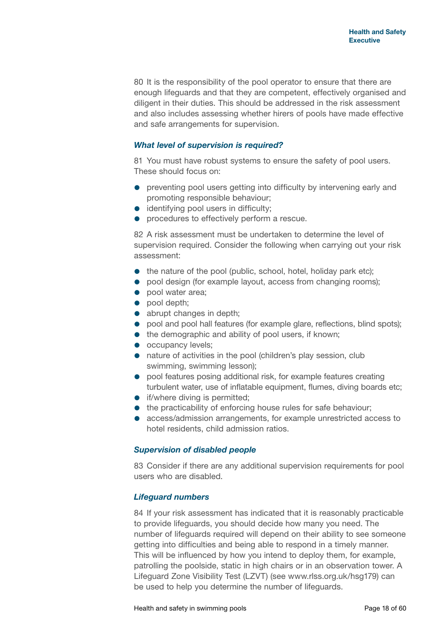80 It is the responsibility of the pool operator to ensure that there are enough lifeguards and that they are competent, effectively organised and diligent in their duties. This should be addressed in the risk assessment and also includes assessing whether hirers of pools have made effective and safe arrangements for supervision.

#### *What level of supervision is required?*

81 You must have robust systems to ensure the safety of pool users. These should focus on:

- preventing pool users getting into difficulty by intervening early and promoting responsible behaviour;
- **•** identifying pool users in difficulty;
- **•** procedures to effectively perform a rescue.

82 A risk assessment must be undertaken to determine the level of supervision required. Consider the following when carrying out your risk assessment:

- the nature of the pool (public, school, hotel, holiday park etc);
- pool design (for example layout, access from changing rooms);
- pool water area:
- pool depth;
- abrupt changes in depth;
- pool and pool hall features (for example glare, reflections, blind spots);
- $\bullet$  the demographic and ability of pool users, if known;
- occupancy levels;
- **•** nature of activities in the pool (children's play session, club swimming, swimming lesson);
- pool features posing additional risk, for example features creating turbulent water, use of inflatable equipment, flumes, diving boards etc;
- **•** if/where diving is permitted;
- $\bullet$  the practicability of enforcing house rules for safe behaviour;
- access/admission arrangements, for example unrestricted access to hotel residents, child admission ratios.

#### *Supervision of disabled people*

83 Consider if there are any additional supervision requirements for pool users who are disabled.

#### *Lifeguard numbers*

84 If your risk assessment has indicated that it is reasonably practicable to provide lifeguards, you should decide how many you need. The number of lifeguards required will depend on their ability to see someone getting into difficulties and being able to respond in a timely manner. This will be influenced by how you intend to deploy them, for example, patrolling the poolside, static in high chairs or in an observation tower. A Lifeguard Zone Visibility Test (LZVT) (see [www.rlss.org.uk/h](www.rlss.org.uk/HSG)sg179) can be used to help you determine the number of lifeguards.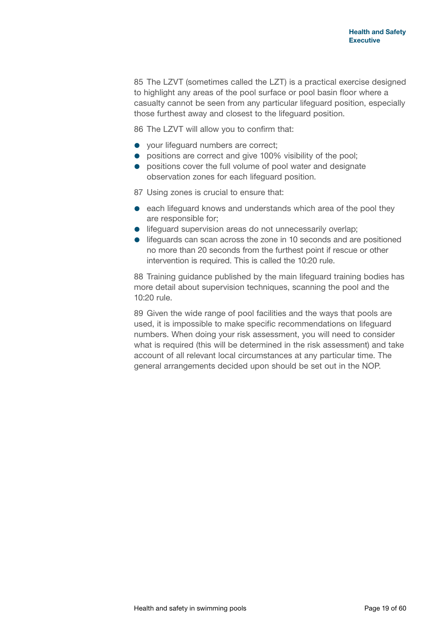85 The LZVT (sometimes called the LZT) is a practical exercise designed to highlight any areas of the pool surface or pool basin floor where a casualty cannot be seen from any particular lifeguard position, especially those furthest away and closest to the lifeguard position.

86 The LZVT will allow you to confirm that:

- your lifeguard numbers are correct;
- **•** positions are correct and give 100% visibility of the pool;
- **•** positions cover the full volume of pool water and designate observation zones for each lifeguard position.

87 Using zones is crucial to ensure that:

- **e** each lifeguard knows and understands which area of the pool they are responsible for;
- **.** lifeguard supervision areas do not unnecessarily overlap;
- lifeguards can scan across the zone in 10 seconds and are positioned no more than 20 seconds from the furthest point if rescue or other intervention is required. This is called the 10:20 rule.

88 Training guidance published by the main lifeguard training bodies has more detail about supervision techniques, scanning the pool and the 10:20 rule.

89 Given the wide range of pool facilities and the ways that pools are used, it is impossible to make specific recommendations on lifeguard numbers. When doing your risk assessment, you will need to consider what is required (this will be determined in the risk assessment) and take account of all relevant local circumstances at any particular time. The general arrangements decided upon should be set out in the NOP.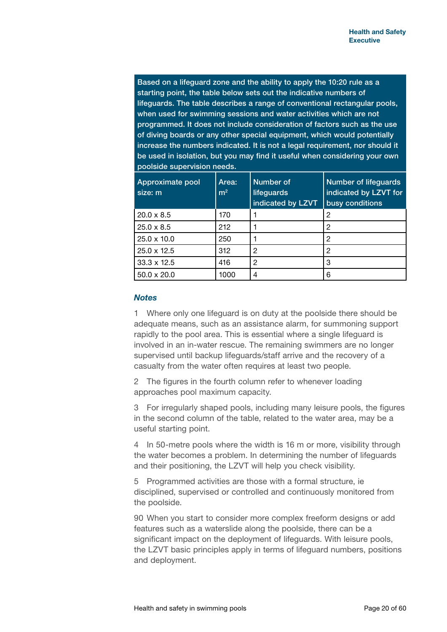Based on a lifeguard zone and the ability to apply the 10:20 rule as a starting point, the table below sets out the indicative numbers of lifeguards. The table describes a range of conventional rectangular pools, when used for swimming sessions and water activities which are not programmed. It does not include consideration of factors such as the use of diving boards or any other special equipment, which would potentially increase the numbers indicated. It is not a legal requirement, nor should it be used in isolation, but you may find it useful when considering your own poolside supervision needs.

| Approximate pool<br>size: m | Area:<br>m <sup>2</sup> | <b>Number of</b><br>lifeguards<br>indicated by LZVT | Number of lifeguards<br>indicated by LZVT for<br>busy conditions |
|-----------------------------|-------------------------|-----------------------------------------------------|------------------------------------------------------------------|
| $20.0 \times 8.5$           | 170                     |                                                     | 2                                                                |
| $25.0 \times 8.5$           | 212                     |                                                     | 2                                                                |
| $25.0 \times 10.0$          | 250                     |                                                     | 2                                                                |
| $25.0 \times 12.5$          | 312                     | 2                                                   | 2                                                                |
| $33.3 \times 12.5$          | 416                     | 2                                                   | 3                                                                |
| $50.0 \times 20.0$          | 1000                    | 4                                                   | 6                                                                |

#### *Notes*

1 Where only one lifeguard is on duty at the poolside there should be adequate means, such as an assistance alarm, for summoning support rapidly to the pool area. This is essential where a single lifeguard is involved in an in-water rescue. The remaining swimmers are no longer supervised until backup lifeguards/staff arrive and the recovery of a casualty from the water often requires at least two people.

2 The figures in the fourth column refer to whenever loading approaches pool maximum capacity.

3 For irregularly shaped pools, including many leisure pools, the figures in the second column of the table, related to the water area, may be a useful starting point.

4 In 50-metre pools where the width is 16 m or more, visibility through the water becomes a problem. In determining the number of lifeguards and their positioning, the LZVT will help you check visibility.

5 Programmed activities are those with a formal structure, ie disciplined, supervised or controlled and continuously monitored from the poolside.

90 When you start to consider more complex freeform designs or add features such as a waterslide along the poolside, there can be a significant impact on the deployment of lifeguards. With leisure pools, the LZVT basic principles apply in terms of lifeguard numbers, positions and deployment.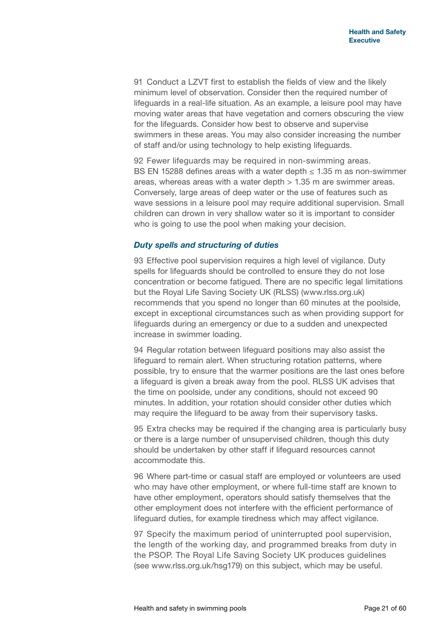91 Conduct a LZVT first to establish the fields of view and the likely minimum level of observation. Consider then the required number of lifeguards in a real-life situation. As an example, a leisure pool may have moving water areas that have vegetation and corners obscuring the view for the lifeguards. Consider how best to observe and supervise swimmers in these areas. You may also consider increasing the number of staff and/or using technology to help existing lifeguards.

92 Fewer lifeguards may be required in non-swimming areas. BS EN 15288 defines areas with a water depth  $\leq$  1.35 m as non-swimmer areas, whereas areas with a water depth  $> 1.35$  m are swimmer areas. Conversely, large areas of deep water or the use of features such as wave sessions in a leisure pool may require additional supervision. Small children can drown in very shallow water so it is important to consider who is going to use the pool when making your decision.

#### *Duty spells and structuring of duties*

93 Effective pool supervision requires a high level of vigilance. Duty spells for lifeguards should be controlled to ensure they do not lose concentration or become fatigued. There are no specific legal limitations but the Royal Life Saving Society UK (RLSS) [\(www.rlss.org.uk\)](www.rlss.org.uk) recommends that you spend no longer than 60 minutes at the poolside, except in exceptional circumstances such as when providing support for lifeguards during an emergency or due to a sudden and unexpected increase in swimmer loading.

94 Regular rotation between lifeguard positions may also assist the lifeguard to remain alert. When structuring rotation patterns, where possible, try to ensure that the warmer positions are the last ones before a lifeguard is given a break away from the pool. RLSS UK advises that the time on poolside, under any conditions, should not exceed 90 minutes. In addition, your rotation should consider other duties which may require the lifeguard to be away from their supervisory tasks.

95 Extra checks may be required if the changing area is particularly busy or there is a large number of unsupervised children, though this duty should be undertaken by other staff if lifeguard resources cannot accommodate this.

96 Where part-time or casual staff are employed or volunteers are used who may have other employment, or where full-time staff are known to have other employment, operators should satisfy themselves that the other employment does not interfere with the efficient performance of lifeguard duties, for example tiredness which may affect vigilance.

97 Specify the maximum period of uninterrupted pool supervision, the length of the working day, and programmed breaks from duty in the PSOP. The Royal Life Saving Society UK produces guidelines (see [www.rlss.org.uk/](www.rlss.org.uk/HSG)hsg179) on this subject, which may be useful.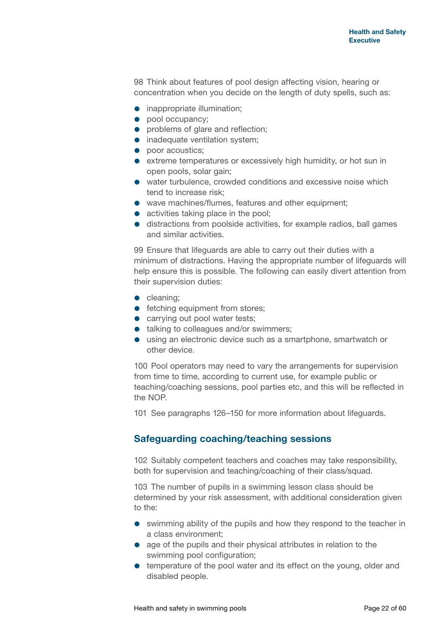98 Think about features of pool design affecting vision, hearing or concentration when you decide on the length of duty spells, such as:

- **•** inappropriate illumination;
- pool occupancy;
- problems of glare and reflection;
- inadequate ventilation system;
- poor acoustics:
- extreme temperatures or excessively high humidity, or hot sun in open pools, solar gain;
- water turbulence, crowded conditions and excessive noise which tend to increase risk;
- wave machines/flumes, features and other equipment;
- activities taking place in the pool;
- distractions from poolside activities, for example radios, ball games and similar activities.

99 Ensure that lifeguards are able to carry out their duties with a minimum of distractions. Having the appropriate number of lifeguards will help ensure this is possible. The following can easily divert attention from their supervision duties:

- cleaning;
- **•** fetching equipment from stores;
- carrying out pool water tests;
- talking to colleagues and/or swimmers;
- using an electronic device such as a smartphone, smartwatch or other device.

100 Pool operators may need to vary the arrangements for supervision from time to time, according to current use, for example public or teaching/coaching sessions, pool parties etc, and this will be reflected in the NOP.

101 See paragraphs 126–150 for more information about lifeguards.

#### **Safeguarding coaching/teaching sessions**

102 Suitably competent teachers and coaches may take responsibility, both for supervision and teaching/coaching of their class/squad.

103 The number of pupils in a swimming lesson class should be determined by your risk assessment, with additional consideration given to the:

- swimming ability of the pupils and how they respond to the teacher in a class environment;
- age of the pupils and their physical attributes in relation to the swimming pool configuration;
- $\bullet$  temperature of the pool water and its effect on the young, older and disabled people.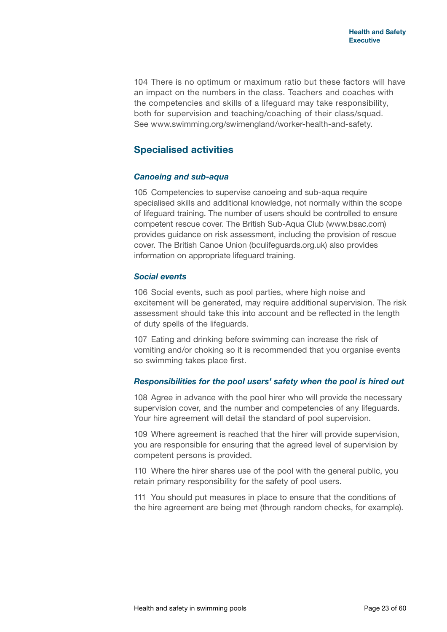104 There is no optimum or maximum ratio but these factors will have an impact on the numbers in the class. Teachers and coaches with the competencies and skills of a lifeguard may take responsibility, both for supervision and teaching/coaching of their class/squad. See [www.swimming.org/swimengland/worker-](www.swimming.org/swimengland/worker)health-and-safety.

## **Specialised activities**

#### *Canoeing and sub-aqua*

105 Competencies to supervise canoeing and sub-aqua require specialised skills and additional knowledge, not normally within the scope of lifeguard training. The number of users should be controlled to ensure competent rescue cover. The British Sub-Aqua Club [\(www.bsac.com\)](www.bsac.com) provides guidance on risk assessment, including the provision of rescue cover. The British Canoe Union (<bculifeguards.org.uk>) also provides information on appropriate lifeguard training.

#### *Social events*

106 Social events, such as pool parties, where high noise and excitement will be generated, may require additional supervision. The risk assessment should take this into account and be reflected in the length of duty spells of the lifeguards.

107 Eating and drinking before swimming can increase the risk of vomiting and/or choking so it is recommended that you organise events so swimming takes place first.

#### *Responsibilities for the pool users' safety when the pool is hired out*

108 Agree in advance with the pool hirer who will provide the necessary supervision cover, and the number and competencies of any lifeguards. Your hire agreement will detail the standard of pool supervision.

109 Where agreement is reached that the hirer will provide supervision, you are responsible for ensuring that the agreed level of supervision by competent persons is provided.

110 Where the hirer shares use of the pool with the general public, you retain primary responsibility for the safety of pool users.

111 You should put measures in place to ensure that the conditions of the hire agreement are being met (through random checks, for example).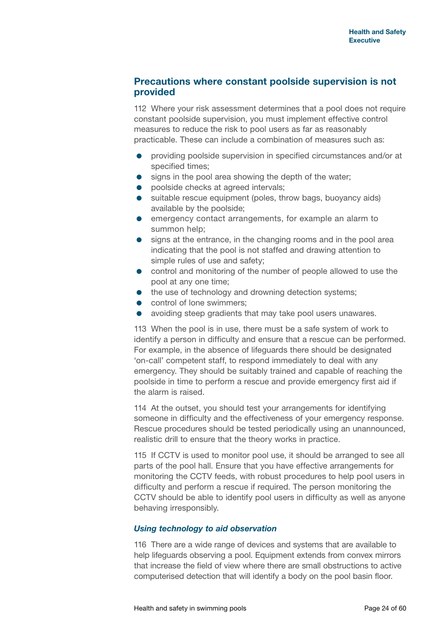#### **Precautions where constant poolside supervision is not provided**

112 Where your risk assessment determines that a pool does not require constant poolside supervision, you must implement effective control measures to reduce the risk to pool users as far as reasonably practicable. These can include a combination of measures such as:

- providing poolside supervision in specified circumstances and/or at specified times;
- signs in the pool area showing the depth of the water;
- **•** poolside checks at agreed intervals:
- suitable rescue equipment (poles, throw bags, buoyancy aids) available by the poolside;
- emergency contact arrangements, for example an alarm to summon help;
- **•** signs at the entrance, in the changing rooms and in the pool area indicating that the pool is not staffed and drawing attention to simple rules of use and safety;
- control and monitoring of the number of people allowed to use the pool at any one time;
- the use of technology and drowning detection systems;
- **•** control of lone swimmers;
- avoiding steep gradients that may take pool users unawares.

113 When the pool is in use, there must be a safe system of work to identify a person in difficulty and ensure that a rescue can be performed. For example, in the absence of lifeguards there should be designated 'on-call' competent staff, to respond immediately to deal with any emergency. They should be suitably trained and capable of reaching the poolside in time to perform a rescue and provide emergency first aid if the alarm is raised.

114 At the outset, you should test your arrangements for identifying someone in difficulty and the effectiveness of your emergency response. Rescue procedures should be tested periodically using an unannounced, realistic drill to ensure that the theory works in practice.

115 If CCTV is used to monitor pool use, it should be arranged to see all parts of the pool hall. Ensure that you have effective arrangements for monitoring the CCTV feeds, with robust procedures to help pool users in difficulty and perform a rescue if required. The person monitoring the CCTV should be able to identify pool users in difficulty as well as anyone behaving irresponsibly.

#### *Using technology to aid observation*

116 There are a wide range of devices and systems that are available to help lifeguards observing a pool. Equipment extends from convex mirrors that increase the field of view where there are small obstructions to active computerised detection that will identify a body on the pool basin floor.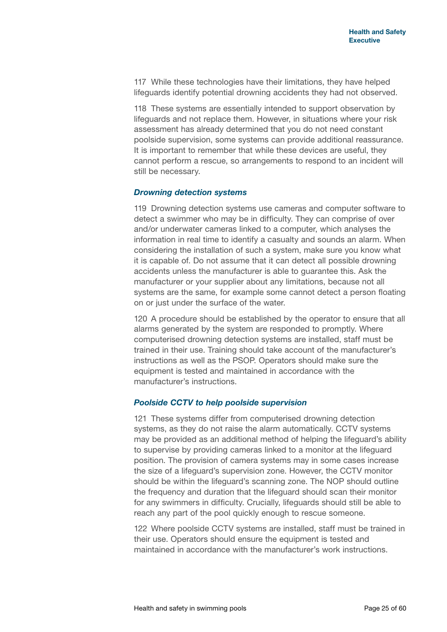117 While these technologies have their limitations, they have helped lifeguards identify potential drowning accidents they had not observed.

118 These systems are essentially intended to support observation by lifeguards and not replace them. However, in situations where your risk assessment has already determined that you do not need constant poolside supervision, some systems can provide additional reassurance. It is important to remember that while these devices are useful, they cannot perform a rescue, so arrangements to respond to an incident will still be necessary.

#### *Drowning detection systems*

119 Drowning detection systems use cameras and computer software to detect a swimmer who may be in difficulty. They can comprise of over and/or underwater cameras linked to a computer, which analyses the information in real time to identify a casualty and sounds an alarm. When considering the installation of such a system, make sure you know what it is capable of. Do not assume that it can detect all possible drowning accidents unless the manufacturer is able to guarantee this. Ask the manufacturer or your supplier about any limitations, because not all systems are the same, for example some cannot detect a person floating on or just under the surface of the water.

120 A procedure should be established by the operator to ensure that all alarms generated by the system are responded to promptly. Where computerised drowning detection systems are installed, staff must be trained in their use. Training should take account of the manufacturer's instructions as well as the PSOP. Operators should make sure the equipment is tested and maintained in accordance with the manufacturer's instructions.

#### *Poolside CCTV to help poolside supervision*

121 These systems differ from computerised drowning detection systems, as they do not raise the alarm automatically. CCTV systems may be provided as an additional method of helping the lifeguard's ability to supervise by providing cameras linked to a monitor at the lifeguard position. The provision of camera systems may in some cases increase the size of a lifeguard's supervision zone. However, the CCTV monitor should be within the lifeguard's scanning zone. The NOP should outline the frequency and duration that the lifeguard should scan their monitor for any swimmers in difficulty. Crucially, lifeguards should still be able to reach any part of the pool quickly enough to rescue someone.

122 Where poolside CCTV systems are installed, staff must be trained in their use. Operators should ensure the equipment is tested and maintained in accordance with the manufacturer's work instructions.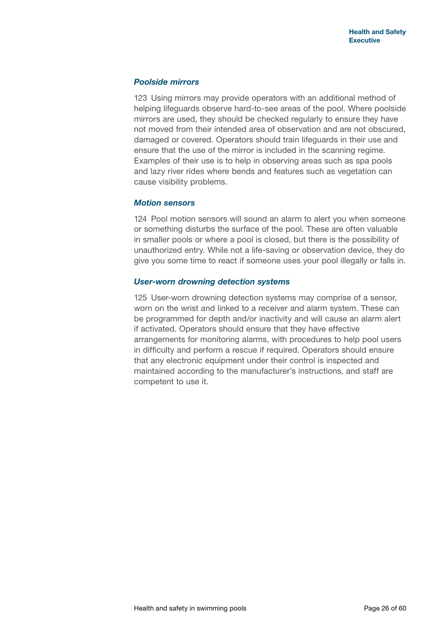#### *Poolside mirrors*

123 Using mirrors may provide operators with an additional method of helping lifeguards observe hard-to-see areas of the pool. Where poolside mirrors are used, they should be checked regularly to ensure they have not moved from their intended area of observation and are not obscured, damaged or covered. Operators should train lifeguards in their use and ensure that the use of the mirror is included in the scanning regime. Examples of their use is to help in observing areas such as spa pools and lazy river rides where bends and features such as vegetation can cause visibility problems.

#### *Motion sensors*

124 Pool motion sensors will sound an alarm to alert you when someone or something disturbs the surface of the pool. These are often valuable in smaller pools or where a pool is closed, but there is the possibility of unauthorized entry. While not a life-saving or observation device, they do give you some time to react if someone uses your pool illegally or falls in.

#### *User-worn drowning detection systems*

125 User-worn drowning detection systems may comprise of a sensor, worn on the wrist and linked to a receiver and alarm system. These can be programmed for depth and/or inactivity and will cause an alarm alert if activated. Operators should ensure that they have effective arrangements for monitoring alarms, with procedures to help pool users in difficulty and perform a rescue if required. Operators should ensure that any electronic equipment under their control is inspected and maintained according to the manufacturer's instructions, and staff are competent to use it.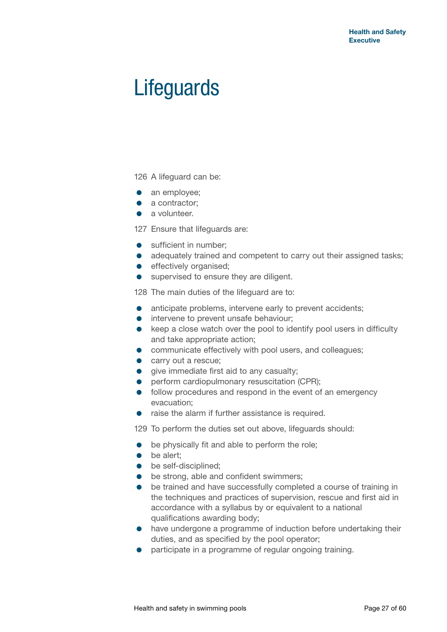## **Lifeguards**

126 A lifeguard can be:

- an employee;
- a contractor;
- a volunteer.

127 Ensure that lifeguards are:

- sufficient in number:
- adequately trained and competent to carry out their assigned tasks;
- **e** effectively organised;
- supervised to ensure they are diligent.

128 The main duties of the lifeguard are to:

- anticipate problems, intervene early to prevent accidents;
- **•** intervene to prevent unsafe behaviour;
- keep a close watch over the pool to identify pool users in difficulty and take appropriate action;
- communicate effectively with pool users, and colleagues;
- **carry out a rescue;**
- **o** give immediate first aid to any casualty;
- **•** perform cardiopulmonary resuscitation (CPR);
- **•** follow procedures and respond in the event of an emergency evacuation;
- raise the alarm if further assistance is required.

129 To perform the duties set out above, lifeguards should:

- **•** be physically fit and able to perform the role;
- be alert;
- **•** be self-disciplined;
- be strong, able and confident swimmers;
- $\bullet$  be trained and have successfully completed a course of training in the techniques and practices of supervision, rescue and first aid in accordance with a syllabus by or equivalent to a national qualifications awarding body;
- have undergone a programme of induction before undertaking their duties, and as specified by the pool operator;
- participate in a programme of regular ongoing training.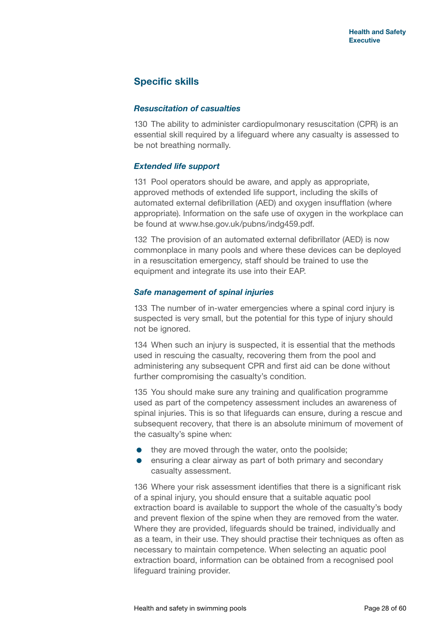## **Specific skills**

#### *Resuscitation of casualties*

130 The ability to administer cardiopulmonary resuscitation (CPR) is an essential skill required by a lifeguard where any casualty is assessed to be not breathing normally.

#### *Extended life support*

131 Pool operators should be aware, and apply as appropriate, approved methods of extended life support, including the skills of automated external defibrillation (AED) and oxygen insufflation (where appropriate). Information on the safe use of oxygen in the workplace can be found at [www.hse.gov.uk/pubns/indg459.pdf.](www.hse.gov.uk/pubns/indg459.pdf)

132 The provision of an automated external defibrillator (AED) is now commonplace in many pools and where these devices can be deployed in a resuscitation emergency, staff should be trained to use the equipment and integrate its use into their EAP.

#### *Safe management of spinal injuries*

133 The number of in-water emergencies where a spinal cord injury is suspected is very small, but the potential for this type of injury should not be ignored.

134 When such an injury is suspected, it is essential that the methods used in rescuing the casualty, recovering them from the pool and administering any subsequent CPR and first aid can be done without further compromising the casualty's condition.

135 You should make sure any training and qualification programme used as part of the competency assessment includes an awareness of spinal injuries. This is so that lifeguards can ensure, during a rescue and subsequent recovery, that there is an absolute minimum of movement of the casualty's spine when:

- they are moved through the water, onto the poolside;
- ensuring a clear airway as part of both primary and secondary casualty assessment.

136 Where your risk assessment identifies that there is a significant risk of a spinal injury, you should ensure that a suitable aquatic pool extraction board is available to support the whole of the casualty's body and prevent flexion of the spine when they are removed from the water. Where they are provided, lifeguards should be trained, individually and as a team, in their use. They should practise their techniques as often as necessary to maintain competence. When selecting an aquatic pool extraction board, information can be obtained from a recognised pool lifeguard training provider.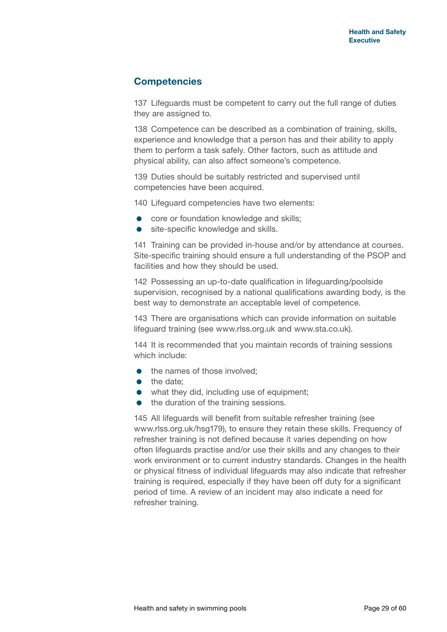## **Competencies**

137 Lifeguards must be competent to carry out the full range of duties they are assigned to.

138 Competence can be described as a combination of training, skills, experience and knowledge that a person has and their ability to apply them to perform a task safely. Other factors, such as attitude and physical ability, can also affect someone's competence.

139 Duties should be suitably restricted and supervised until competencies have been acquired.

140 Lifeguard competencies have two elements:

- core or foundation knowledge and skills:
- site-specific knowledge and skills.

141 Training can be provided in-house and/or by attendance at courses. Site-specific training should ensure a full understanding of the PSOP and facilities and how they should be used.

142 Possessing an up-to-date qualification in lifeguarding/poolside supervision, recognised by a national qualifications awarding body, is the best way to demonstrate an acceptable level of competence.

143 There are organisations which can provide information on suitable lifeguard training (see <www.rlss.org.uk>and <www.sta.co.uk>).

144 It is recommended that you maintain records of training sessions which include:

- the names of those involved;
- the date:
- what they did, including use of equipment;
- $\bullet$  the duration of the training sessions.

145 All lifeguards will benefit from suitable refresher training (see [www.rlss.org.uk/h](www.rlss.org.uk/HSG)sg179), to ensure they retain these skills. Frequency of refresher training is not defined because it varies depending on how often lifeguards practise and/or use their skills and any changes to their work environment or to current industry standards. Changes in the health or physical fitness of individual lifeguards may also indicate that refresher training is required, especially if they have been off duty for a significant period of time. A review of an incident may also indicate a need for refresher training.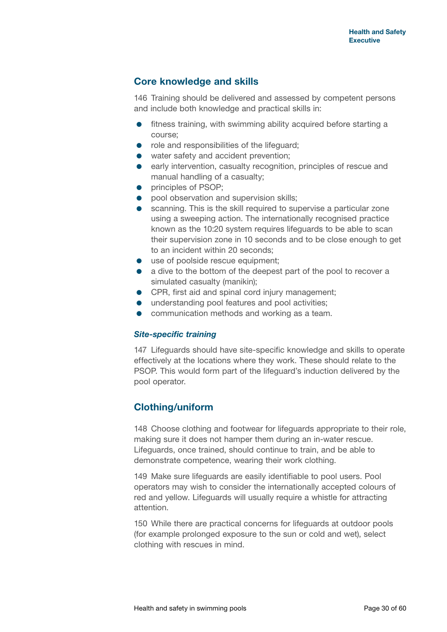## **Core knowledge and skills**

146 Training should be delivered and assessed by competent persons and include both knowledge and practical skills in:

- fitness training, with swimming ability acquired before starting a course;
- role and responsibilities of the lifeguard:
- water safety and accident prevention;
- **e** early intervention, casualty recognition, principles of rescue and manual handling of a casualty;
- **•** principles of PSOP:
- **•** pool observation and supervision skills:
- scanning. This is the skill required to supervise a particular zone using a sweeping action. The internationally recognised practice known as the 10:20 system requires lifeguards to be able to scan their supervision zone in 10 seconds and to be close enough to get to an incident within 20 seconds;
- use of poolside rescue equipment:
- a dive to the bottom of the deepest part of the pool to recover a simulated casualty (manikin);
- **•** CPR, first aid and spinal cord injury management;
- $\bullet$  understanding pool features and pool activities;
- **•** communication methods and working as a team.

#### *Site-specific training*

147 Lifeguards should have site-specific knowledge and skills to operate effectively at the locations where they work. These should relate to the PSOP. This would form part of the lifeguard's induction delivered by the pool operator.

## **Clothing/uniform**

148 Choose clothing and footwear for lifeguards appropriate to their role, making sure it does not hamper them during an in-water rescue. Lifeguards, once trained, should continue to train, and be able to demonstrate competence, wearing their work clothing.

149 Make sure lifeguards are easily identifiable to pool users. Pool operators may wish to consider the internationally accepted colours of red and yellow. Lifeguards will usually require a whistle for attracting attention.

150 While there are practical concerns for lifeguards at outdoor pools (for example prolonged exposure to the sun or cold and wet), select clothing with rescues in mind.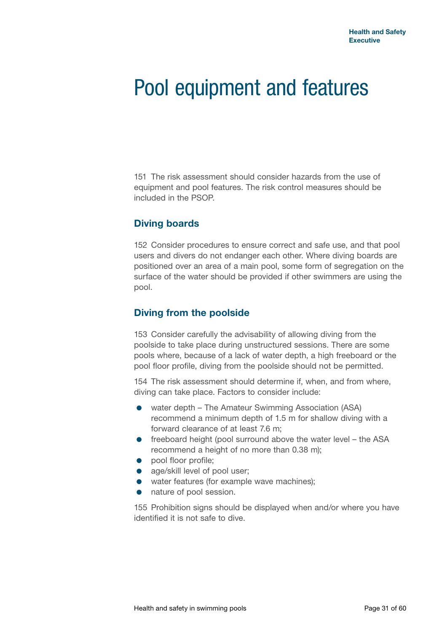## Pool equipment and features

151 The risk assessment should consider hazards from the use of equipment and pool features. The risk control measures should be included in the PSOP.

## **Diving boards**

152 Consider procedures to ensure correct and safe use, and that pool users and divers do not endanger each other. Where diving boards are positioned over an area of a main pool, some form of segregation on the surface of the water should be provided if other swimmers are using the pool.

## **Diving from the poolside**

153 Consider carefully the advisability of allowing diving from the poolside to take place during unstructured sessions. There are some pools where, because of a lack of water depth, a high freeboard or the pool floor profile, diving from the poolside should not be permitted.

154 The risk assessment should determine if, when, and from where, diving can take place. Factors to consider include:

- water depth The Amateur Swimming Association (ASA) recommend a minimum depth of 1.5 m for shallow diving with a forward clearance of at least 7.6 m;
- **•** freeboard height (pool surround above the water level the ASA recommend a height of no more than 0.38 m);
- **•** pool floor profile:
- age/skill level of pool user;
- water features (for example wave machines);
- nature of pool session.

155 Prohibition signs should be displayed when and/or where you have identified it is not safe to dive.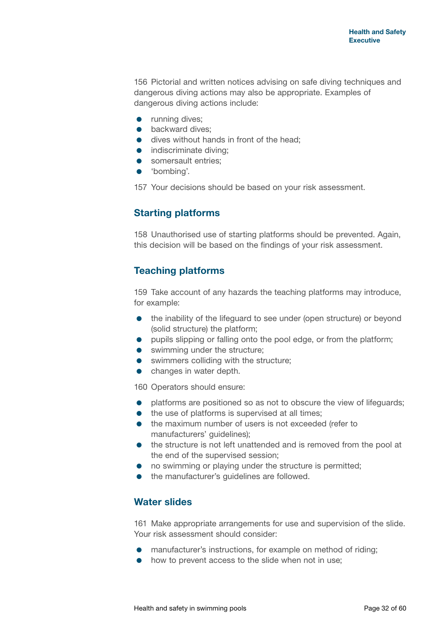156 Pictorial and written notices advising on safe diving techniques and dangerous diving actions may also be appropriate. Examples of dangerous diving actions include:

- **•** running dives;
- **•** backward dives:
- **o** dives without hands in front of the head;
- indiscriminate diving;
- somersault entries;
- 'bombing'.

157 Your decisions should be based on your risk assessment.

## **Starting platforms**

158 Unauthorised use of starting platforms should be prevented. Again, this decision will be based on the findings of your risk assessment.

## **Teaching platforms**

159 Take account of any hazards the teaching platforms may introduce, for example:

- the inability of the lifeguard to see under (open structure) or beyond (solid structure) the platform;
- **•** pupils slipping or falling onto the pool edge, or from the platform;
- swimming under the structure;
- **•** swimmers colliding with the structure;
- changes in water depth.

160 Operators should ensure:

- platforms are positioned so as not to obscure the view of lifeguards;
- the use of platforms is supervised at all times;
- the maximum number of users is not exceeded (refer to manufacturers' guidelines);
- the structure is not left unattended and is removed from the pool at the end of the supervised session;
- no swimming or playing under the structure is permitted;
- the manufacturer's quidelines are followed.

## **Water slides**

161 Make appropriate arrangements for use and supervision of the slide. Your risk assessment should consider:

- **•** manufacturer's instructions, for example on method of riding;
- how to prevent access to the slide when not in use;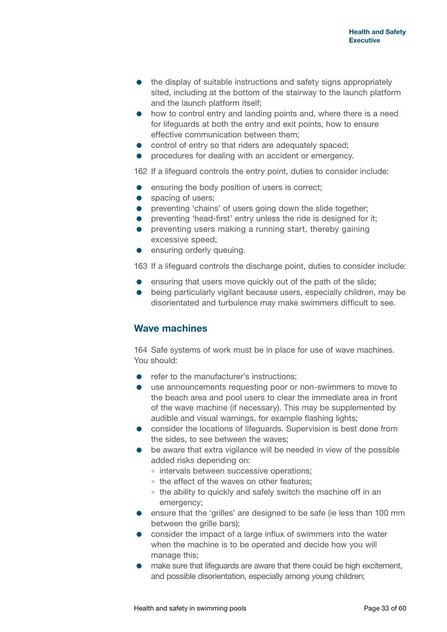- the display of suitable instructions and safety signs appropriately sited, including at the bottom of the stairway to the launch platform and the launch platform itself;
- how to control entry and landing points and, where there is a need for lifeguards at both the entry and exit points, how to ensure effective communication between them;
- control of entry so that riders are adequately spaced;
- procedures for dealing with an accident or emergency.

162 If a lifeguard controls the entry point, duties to consider include:

- **e** ensuring the body position of users is correct;
- spacing of users:
- **•** preventing 'chains' of users going down the slide together;
- **•** preventing 'head-first' entry unless the ride is designed for it:
- **•** preventing users making a running start, thereby gaining excessive speed;
- **ensuring orderly queuing.**

163 If a lifeguard controls the discharge point, duties to consider include:

- **e** ensuring that users move quickly out of the path of the slide;
- being particularly vigilant because users, especially children, may be disorientated and turbulence may make swimmers difficult to see.

## **Wave machines**

164 Safe systems of work must be in place for use of wave machines. You should:

- refer to the manufacturer's instructions:
- use announcements requesting poor or non-swimmers to move to the beach area and pool users to clear the immediate area in front of the wave machine (if necessary). This may be supplemented by audible and visual warnings, for example flashing lights;
- consider the locations of lifeguards. Supervision is best done from the sides, to see between the waves;
- be aware that extra vigilance will be needed in view of the possible added risks depending on:
	- intervals between successive operations;
	- the effect of the waves on other features:
	- the ability to quickly and safely switch the machine off in an emergency;
- ensure that the 'grilles' are designed to be safe (ie less than 100 mm between the grille bars);
- consider the impact of a large influx of swimmers into the water when the machine is to be operated and decide how you will manage this;
- make sure that lifeguards are aware that there could be high excitement, and possible disorientation, especially among young children;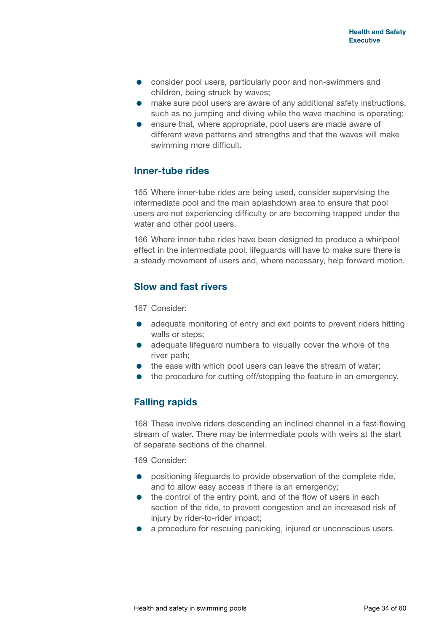- consider pool users, particularly poor and non-swimmers and children, being struck by waves;
- make sure pool users are aware of any additional safety instructions, such as no jumping and diving while the wave machine is operating;
- ensure that, where appropriate, pool users are made aware of different wave patterns and strengths and that the waves will make swimming more difficult.

## **Inner-tube rides**

165 Where inner-tube rides are being used, consider supervising the intermediate pool and the main splashdown area to ensure that pool users are not experiencing difficulty or are becoming trapped under the water and other pool users.

166 Where inner-tube rides have been designed to produce a whirlpool effect in the intermediate pool, lifeguards will have to make sure there is a steady movement of users and, where necessary, help forward motion.

## **Slow and fast rivers**

167 Consider:

- adequate monitoring of entry and exit points to prevent riders hitting walls or steps;
- adequate lifeguard numbers to visually cover the whole of the river path;
- the ease with which pool users can leave the stream of water;
- the procedure for cutting off/stopping the feature in an emergency.

## **Falling rapids**

168 These involve riders descending an inclined channel in a fast-flowing stream of water. There may be intermediate pools with weirs at the start of separate sections of the channel.

169 Consider:

- positioning lifeguards to provide observation of the complete ride, and to allow easy access if there is an emergency;
- the control of the entry point, and of the flow of users in each section of the ride, to prevent congestion and an increased risk of injury by rider-to-rider impact;
- a procedure for rescuing panicking, injured or unconscious users.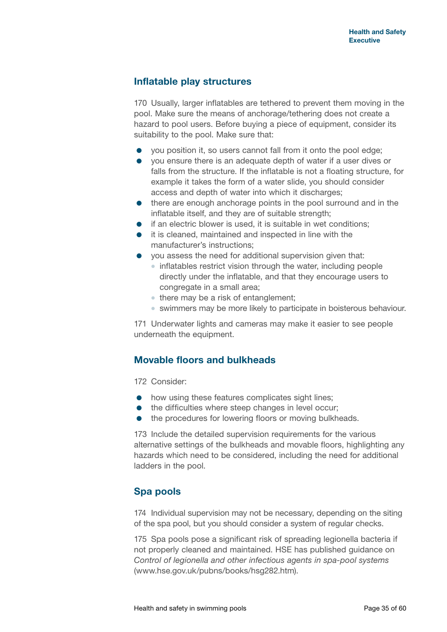## **Inflatable play structures**

170 Usually, larger inflatables are tethered to prevent them moving in the pool. Make sure the means of anchorage/tethering does not create a hazard to pool users. Before buying a piece of equipment, consider its suitability to the pool. Make sure that:

- you position it, so users cannot fall from it onto the pool edge;
- you ensure there is an adequate depth of water if a user dives or falls from the structure. If the inflatable is not a floating structure, for example it takes the form of a water slide, you should consider access and depth of water into which it discharges;
- there are enough anchorage points in the pool surround and in the inflatable itself, and they are of suitable strength;
- $\bullet$  if an electric blower is used, it is suitable in wet conditions;
- it is cleaned, maintained and inspected in line with the manufacturer's instructions;
- you assess the need for additional supervision given that:
	- inflatables restrict vision through the water, including people directly under the inflatable, and that they encourage users to congregate in a small area;
	- there may be a risk of entanglement;
	- swimmers may be more likely to participate in boisterous behaviour.

171 Underwater lights and cameras may make it easier to see people underneath the equipment.

## **Movable floors and bulkheads**

172 Consider:

- how using these features complicates sight lines;
- $\bullet$  the difficulties where steep changes in level occur;
- the procedures for lowering floors or moving bulkheads.

173 Include the detailed supervision requirements for the various alternative settings of the bulkheads and movable floors, highlighting any hazards which need to be considered, including the need for additional ladders in the pool.

## **Spa pools**

174 Individual supervision may not be necessary, depending on the siting of the spa pool, but you should consider a system of regular checks.

175 Spa pools pose a significant risk of spreading legionella bacteria if not properly cleaned and maintained. HSE has published guidance on *Control of legionella and other infectious agents in spa-pool systems* [\(www.hse.gov.uk/pubns/books/hsg282.htm\)](www.hse.gov.uk/pubns/books/hsg282.htm).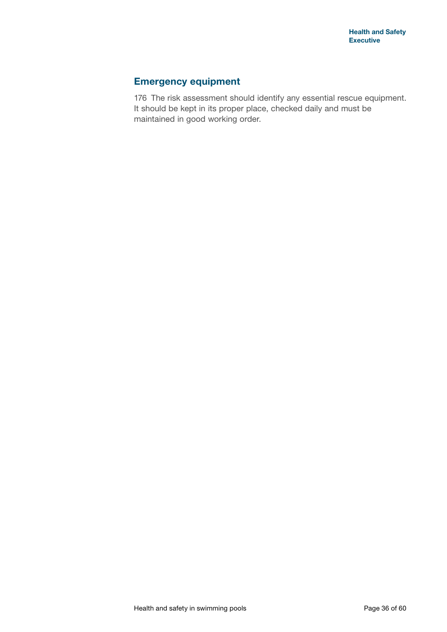## **Emergency equipment**

176 The risk assessment should identify any essential rescue equipment. It should be kept in its proper place, checked daily and must be maintained in good working order.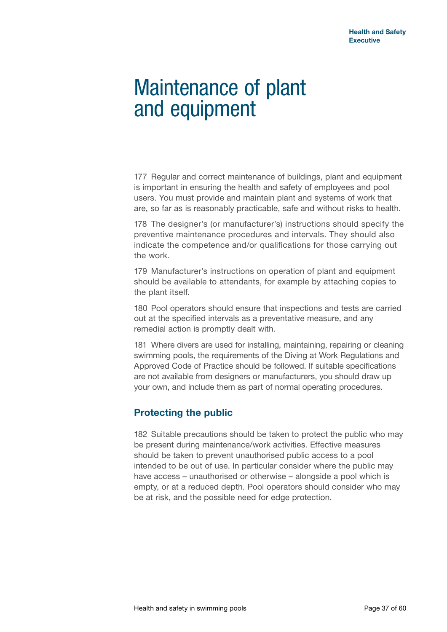## Maintenance of plant and equipment

177 Regular and correct maintenance of buildings, plant and equipment is important in ensuring the health and safety of employees and pool users. You must provide and maintain plant and systems of work that are, so far as is reasonably practicable, safe and without risks to health.

178 The designer's (or manufacturer's) instructions should specify the preventive maintenance procedures and intervals. They should also indicate the competence and/or qualifications for those carrying out the work.

179 Manufacturer's instructions on operation of plant and equipment should be available to attendants, for example by attaching copies to the plant itself.

180 Pool operators should ensure that inspections and tests are carried out at the specified intervals as a preventative measure, and any remedial action is promptly dealt with.

181 Where divers are used for installing, maintaining, repairing or cleaning swimming pools, the requirements of the Diving at Work Regulations and Approved Code of Practice should be followed. If suitable specifications are not available from designers or manufacturers, you should draw up your own, and include them as part of normal operating procedures.

## **Protecting the public**

182 Suitable precautions should be taken to protect the public who may be present during maintenance/work activities. Effective measures should be taken to prevent unauthorised public access to a pool intended to be out of use. In particular consider where the public may have access – unauthorised or otherwise – alongside a pool which is empty, or at a reduced depth. Pool operators should consider who may be at risk, and the possible need for edge protection.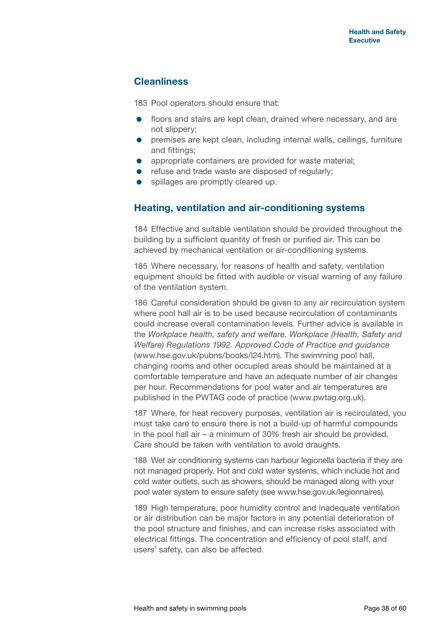## **Cleanliness**

183 Pool operators should ensure that:

- floors and stairs are kept clean, drained where necessary, and are not slippery;
- premises are kept clean, including internal walls, ceilings, furniture and fittings;
- appropriate containers are provided for waste material;
- refuse and trade waste are disposed of regularly;
- spillages are promptly cleared up.

## **Heating, ventilation and air-conditioning systems**

184 Effective and suitable ventilation should be provided throughout the building by a sufficient quantity of fresh or purified air. This can be achieved by mechanical ventilation or air-conditioning systems.

185 Where necessary, for reasons of health and safety, ventilation equipment should be fitted with audible or visual warning of any failure of the ventilation system.

186 Careful consideration should be given to any air recirculation system where pool hall air is to be used because recirculation of contaminants could increase overall contamination levels. Further advice is available in the *Workplace health, safety and welfare. Workplace (Health, Safety and Welfare) Regulations 1992. Approved Code of Practice and guidance* [\(www.hse.gov.uk/pubns/books/l24.htm](www.hse.gov.uk/pubns/books/l24.htm)). The swimming pool hall, changing rooms and other occupied areas should be maintained at a comfortable temperature and have an adequate number of air changes per hour. Recommendations for pool water and air temperatures are published in the PWTAG code of practice [\(www.pwtag.org.uk\)](www.pwtag.org.uk).

187 Where, for heat recovery purposes, ventilation air is recirculated, you must take care to ensure there is not a build-up of harmful compounds in the pool hall air – a minimum of 30% fresh air should be provided. Care should be taken with ventilation to avoid draughts.

188 Wet air conditioning systems can harbour legionella bacteria if they are not managed properly. Hot and cold water systems, which include hot and cold water outlets, such as showers, should be managed along with your pool water system to ensure safety (see <www.hse.gov.uk/legionnaires>).

189 High temperature, poor humidity control and inadequate ventilation or air distribution can be major factors in any potential deterioration of the pool structure and finishes, and can increase risks associated with electrical fittings. The concentration and efficiency of pool staff, and users' safety, can also be affected.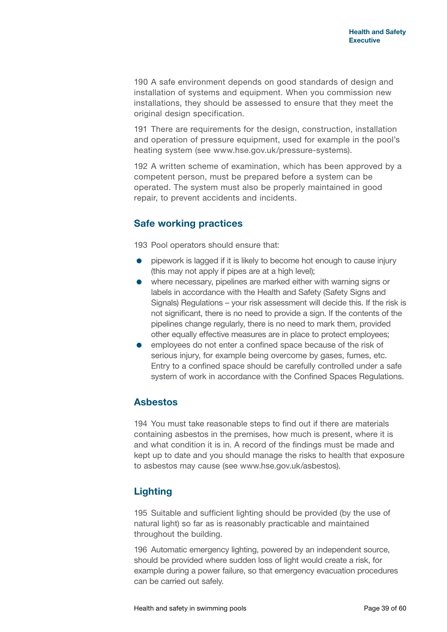190 A safe environment depends on good standards of design and installation of systems and equipment. When you commission new installations, they should be assessed to ensure that they meet the original design specification.

191 There are requirements for the design, construction, installation and operation of pressure equipment, used for example in the pool's heating system (see [www.hse.gov.uk/pressure-](www.hse.gov.uk/pressure)systems).

192 A written scheme of examination, which has been approved by a competent person, must be prepared before a system can be operated. The system must also be properly maintained in good repair, to prevent accidents and incidents.

## **Safe working practices**

193 Pool operators should ensure that:

- pipework is lagged if it is likely to become hot enough to cause injury (this may not apply if pipes are at a high level);
- where necessary, pipelines are marked either with warning signs or labels in accordance with the Health and Safety (Safety Signs and Signals) Regulations – your risk assessment will decide this. If the risk is not significant, there is no need to provide a sign. If the contents of the pipelines change regularly, there is no need to mark them, provided other equally effective measures are in place to protect employees;
- employees do not enter a confined space because of the risk of serious injury, for example being overcome by gases, fumes, etc. Entry to a confined space should be carefully controlled under a safe system of work in accordance with the Confined Spaces Regulations.

## **Asbestos**

194 You must take reasonable steps to find out if there are materials containing asbestos in the premises, how much is present, where it is and what condition it is in. A record of the findings must be made and kept up to date and you should manage the risks to health that exposure to asbestos may cause (see <www.hse.gov.uk/asbestos>).

## **Lighting**

195 Suitable and sufficient lighting should be provided (by the use of natural light) so far as is reasonably practicable and maintained throughout the building.

196 Automatic emergency lighting, powered by an independent source, should be provided where sudden loss of light would create a risk, for example during a power failure, so that emergency evacuation procedures can be carried out safely.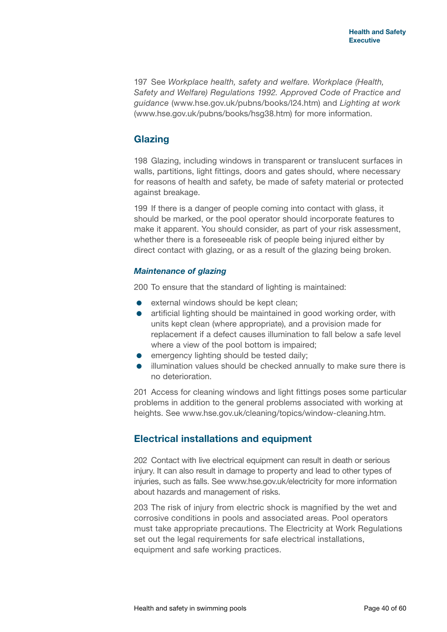197 See *Workplace health, safety and welfare. Workplace (Health, Safety and Welfare) Regulations 1992. Approved Code of Practice and guidance* [\(www.hse.gov.uk/pubns/books/l24.htm\)](www.hse.gov.uk/pubns/books/l24.htm) and *Lighting at work* [\(www.hse.gov.uk/pubns/books/hsg38.htm](www.hse.gov.uk/pubns/books/hsg38.htm)) for more information.

## **Glazing**

198 Glazing, including windows in transparent or translucent surfaces in walls, partitions, light fittings, doors and gates should, where necessary for reasons of health and safety, be made of safety material or protected against breakage.

199 If there is a danger of people coming into contact with glass, it should be marked, or the pool operator should incorporate features to make it apparent. You should consider, as part of your risk assessment, whether there is a foreseeable risk of people being injured either by direct contact with glazing, or as a result of the glazing being broken.

#### *Maintenance of glazing*

200 To ensure that the standard of lighting is maintained:

- **e** external windows should be kept clean;
- artificial lighting should be maintained in good working order, with units kept clean (where appropriate), and a provision made for replacement if a defect causes illumination to fall below a safe level where a view of the pool bottom is impaired;
- **e** emergency lighting should be tested daily;
- illumination values should be checked annually to make sure there is no deterioration.

201 Access for cleaning windows and light fittings poses some particular problems in addition to the general problems associated with working at heights. See <www.hse.gov.uk/cleaning/topics/window-cleaning.htm>.

## **Electrical installations and equipment**

202 Contact with live electrical equipment can result in death or serious injury. It can also result in damage to property and lead to other types of injuries, such as falls. See <www.hse.gov.uk/electricity> for more information about hazards and management of risks.

203 The risk of injury from electric shock is magnified by the wet and corrosive conditions in pools and associated areas. Pool operators must take appropriate precautions. The Electricity at Work Regulations set out the legal requirements for safe electrical installations, equipment and safe working practices.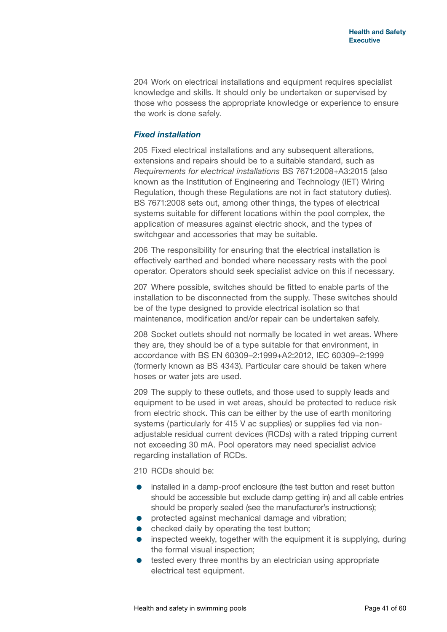204 Work on electrical installations and equipment requires specialist knowledge and skills. It should only be undertaken or supervised by those who possess the appropriate knowledge or experience to ensure the work is done safely.

#### *Fixed installation*

205 Fixed electrical installations and any subsequent alterations, extensions and repairs should be to a suitable standard, such as *Requirements for electrical installations* BS 7671:2008+A3:2015 (also known as the Institution of Engineering and Technology (IET) Wiring Regulation, though these Regulations are not in fact statutory duties). BS 7671:2008 sets out, among other things, the types of electrical systems suitable for different locations within the pool complex, the application of measures against electric shock, and the types of switchgear and accessories that may be suitable.

206 The responsibility for ensuring that the electrical installation is effectively earthed and bonded where necessary rests with the pool operator. Operators should seek specialist advice on this if necessary.

207 Where possible, switches should be fitted to enable parts of the installation to be disconnected from the supply. These switches should be of the type designed to provide electrical isolation so that maintenance, modification and/or repair can be undertaken safely.

208 Socket outlets should not normally be located in wet areas. Where they are, they should be of a type suitable for that environment, in accordance with BS EN 60309–2:1999+A2:2012, IEC 60309–2:1999 (formerly known as BS 4343). Particular care should be taken where hoses or water jets are used.

209 The supply to these outlets, and those used to supply leads and equipment to be used in wet areas, should be protected to reduce risk from electric shock. This can be either by the use of earth monitoring systems (particularly for 415 V ac supplies) or supplies fed via nonadjustable residual current devices (RCDs) with a rated tripping current not exceeding 30 mA. Pool operators may need specialist advice regarding installation of RCDs.

210 RCDs should be:

- installed in a damp-proof enclosure (the test button and reset button should be accessible but exclude damp getting in) and all cable entries should be properly sealed (see the manufacturer's instructions);
- **•** protected against mechanical damage and vibration;
- checked daily by operating the test button;
- inspected weekly, together with the equipment it is supplying, during the formal visual inspection;
- **•** tested every three months by an electrician using appropriate electrical test equipment.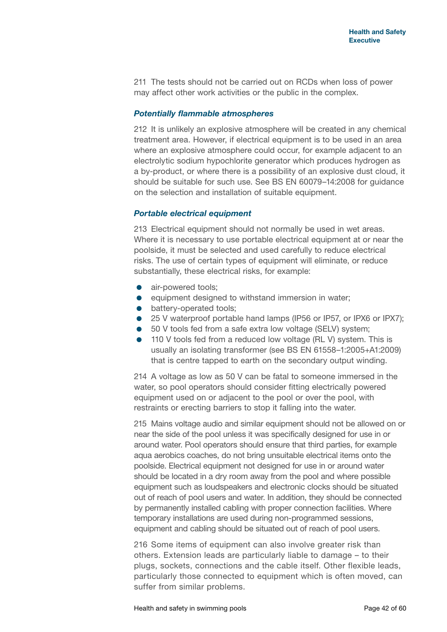211 The tests should not be carried out on RCDs when loss of power may affect other work activities or the public in the complex.

#### *Potentially flammable atmospheres*

212 It is unlikely an explosive atmosphere will be created in any chemical treatment area. However, if electrical equipment is to be used in an area where an explosive atmosphere could occur, for example adjacent to an electrolytic sodium hypochlorite generator which produces hydrogen as a by-product, or where there is a possibility of an explosive dust cloud, it should be suitable for such use. See BS EN 60079–14:2008 for guidance on the selection and installation of suitable equipment.

#### *Portable electrical equipment*

213 Electrical equipment should not normally be used in wet areas. Where it is necessary to use portable electrical equipment at or near the poolside, it must be selected and used carefully to reduce electrical risks. The use of certain types of equipment will eliminate, or reduce substantially, these electrical risks, for example:

- air-powered tools;
- **e** equipment designed to withstand immersion in water;
- **•** battery-operated tools;
- 25 V waterproof portable hand lamps (IP56 or IP57, or IPX6 or IPX7);
- 50 V tools fed from a safe extra low voltage (SELV) system;
- 110 V tools fed from a reduced low voltage (RL V) system. This is usually an isolating transformer (see BS EN 61558–1:2005+A1:2009) that is centre tapped to earth on the secondary output winding.

214 A voltage as low as 50 V can be fatal to someone immersed in the water, so pool operators should consider fitting electrically powered equipment used on or adjacent to the pool or over the pool, with restraints or erecting barriers to stop it falling into the water.

215 Mains voltage audio and similar equipment should not be allowed on or near the side of the pool unless it was specifically designed for use in or around water. Pool operators should ensure that third parties, for example aqua aerobics coaches, do not bring unsuitable electrical items onto the poolside. Electrical equipment not designed for use in or around water should be located in a dry room away from the pool and where possible equipment such as loudspeakers and electronic clocks should be situated out of reach of pool users and water. In addition, they should be connected by permanently installed cabling with proper connection facilities. Where temporary installations are used during non-programmed sessions, equipment and cabling should be situated out of reach of pool users.

216 Some items of equipment can also involve greater risk than others. Extension leads are particularly liable to damage – to their plugs, sockets, connections and the cable itself. Other flexible leads, particularly those connected to equipment which is often moved, can suffer from similar problems.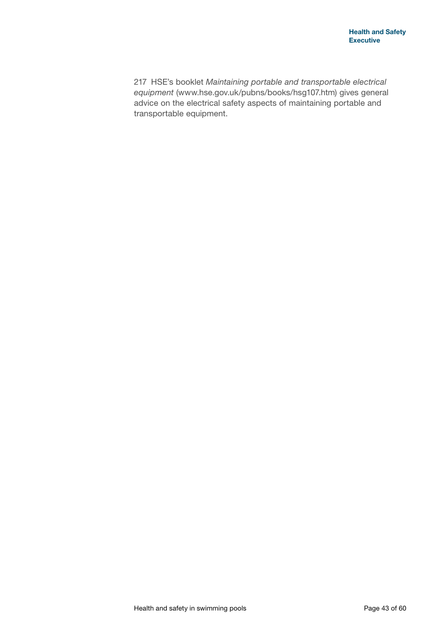217 HSE's booklet *Maintaining portable and transportable electrical equipment* (<www.hse.gov.uk/pubns/books/hsg107.htm>) gives general advice on the electrical safety aspects of maintaining portable and transportable equipment.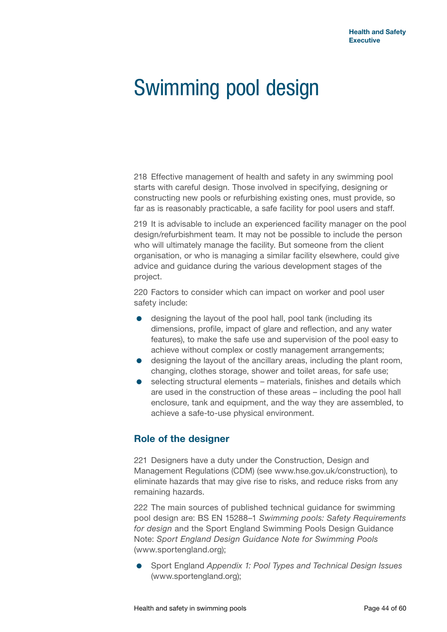## Swimming pool design

218 Effective management of health and safety in any swimming pool starts with careful design. Those involved in specifying, designing or constructing new pools or refurbishing existing ones, must provide, so far as is reasonably practicable, a safe facility for pool users and staff.

219 It is advisable to include an experienced facility manager on the pool design/refurbishment team. It may not be possible to include the person who will ultimately manage the facility. But someone from the client organisation, or who is managing a similar facility elsewhere, could give advice and guidance during the various development stages of the project.

220 Factors to consider which can impact on worker and pool user safety include:

- designing the layout of the pool hall, pool tank (including its dimensions, profile, impact of glare and reflection, and any water features), to make the safe use and supervision of the pool easy to achieve without complex or costly management arrangements;
- designing the layout of the ancillary areas, including the plant room, changing, clothes storage, shower and toilet areas, for safe use;
- selecting structural elements materials, finishes and details which are used in the construction of these areas – including the pool hall enclosure, tank and equipment, and the way they are assembled, to achieve a safe-to-use physical environment.

## **Role of the designer**

221 Designers have a duty under the Construction, Design and Management Regulations (CDM) (see <www.hse.gov.uk/construction>), to eliminate hazards that may give rise to risks, and reduce risks from any remaining hazards.

222 The main sources of published technical guidance for swimming pool design are: BS EN 15288–1 *Swimming pools: Safety Requirements for design* and the Sport England Swimming Pools Design Guidance Note: *Sport England Design Guidance Note for Swimming Pools* [\(www.sportengland.org\)](www.sportengland.org);

 Sport England *Appendix 1: Pool Types and Technical Design Issues* [\(www.sportengland.org\)](www.sportengland.org);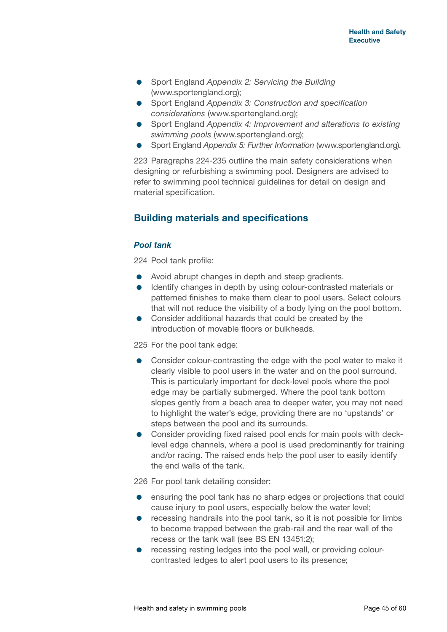- Sport England *Appendix 2: Servicing the Building* [\(www.sportengland.org\)](www.sportengland.org);
- Sport England *Appendix 3: Construction and specification considerations* [\(www.sportengland.org](www.sportengland.org));
- Sport England *Appendix 4: Improvement and alterations to existing swimming pools* (<www.sportengland.org>);
- Sport England *Appendix 5: Further Information* [\(www.sportengland.org](www.sportengland.org)).

223 Paragraphs 224-235 outline the main safety considerations when designing or refurbishing a swimming pool. Designers are advised to refer to swimming pool technical guidelines for detail on design and material specification.

## **Building materials and specifications**

#### *Pool tank*

224 Pool tank profile:

- Avoid abrupt changes in depth and steep gradients.
- **IDENTIFY** changes in depth by using colour-contrasted materials or patterned finishes to make them clear to pool users. Select colours that will not reduce the visibility of a body lying on the pool bottom.
- Consider additional hazards that could be created by the introduction of movable floors or bulkheads.

225 For the pool tank edge:

- **•** Consider colour-contrasting the edge with the pool water to make it clearly visible to pool users in the water and on the pool surround. This is particularly important for deck-level pools where the pool edge may be partially submerged. Where the pool tank bottom slopes gently from a beach area to deeper water, you may not need to highlight the water's edge, providing there are no 'upstands' or steps between the pool and its surrounds.
- Consider providing fixed raised pool ends for main pools with decklevel edge channels, where a pool is used predominantly for training and/or racing. The raised ends help the pool user to easily identify the end walls of the tank.

226 For pool tank detailing consider:

- ensuring the pool tank has no sharp edges or projections that could cause injury to pool users, especially below the water level;
- recessing handrails into the pool tank, so it is not possible for limbs to become trapped between the grab-rail and the rear wall of the recess or the tank wall (see BS EN 13451:2);
- recessing resting ledges into the pool wall, or providing colourcontrasted ledges to alert pool users to its presence;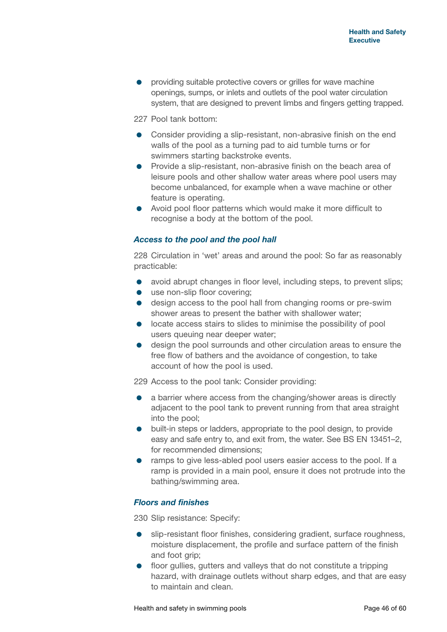providing suitable protective covers or grilles for wave machine openings, sumps, or inlets and outlets of the pool water circulation system, that are designed to prevent limbs and fingers getting trapped.

227 Pool tank bottom:

- Consider providing a slip-resistant, non-abrasive finish on the end walls of the pool as a turning pad to aid tumble turns or for swimmers starting backstroke events.
- $\bullet$  Provide a slip-resistant, non-abrasive finish on the beach area of leisure pools and other shallow water areas where pool users may become unbalanced, for example when a wave machine or other feature is operating.
- Avoid pool floor patterns which would make it more difficult to recognise a body at the bottom of the pool.

#### *Access to the pool and the pool hall*

228 Circulation in 'wet' areas and around the pool: So far as reasonably practicable:

- $\bullet$  avoid abrupt changes in floor level, including steps, to prevent slips;
- use non-slip floor covering:
- design access to the pool hall from changing rooms or pre-swim shower areas to present the bather with shallower water;
- **•** locate access stairs to slides to minimise the possibility of pool users queuing near deeper water;
- design the pool surrounds and other circulation areas to ensure the free flow of bathers and the avoidance of congestion, to take account of how the pool is used.

229 Access to the pool tank: Consider providing:

- a barrier where access from the changing/shower areas is directly adjacent to the pool tank to prevent running from that area straight into the pool;
- built-in steps or ladders, appropriate to the pool design, to provide easy and safe entry to, and exit from, the water. See BS EN 13451–2, for recommended dimensions;
- ramps to give less-abled pool users easier access to the pool. If a ramp is provided in a main pool, ensure it does not protrude into the bathing/swimming area.

#### *Floors and finishes*

230 Slip resistance: Specify:

- slip-resistant floor finishes, considering gradient, surface roughness, moisture displacement, the profile and surface pattern of the finish and foot grip;
- **•** floor gullies, gutters and valleys that do not constitute a tripping hazard, with drainage outlets without sharp edges, and that are easy to maintain and clean.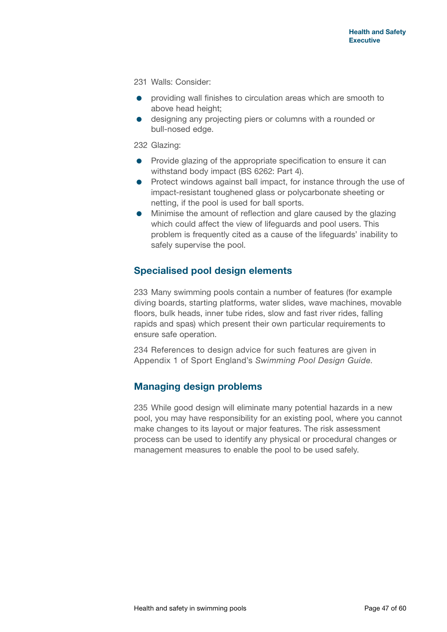231 Walls: Consider:

- providing wall finishes to circulation areas which are smooth to above head height;
- designing any projecting piers or columns with a rounded or bull-nosed edge.

232 Glazing:

- **•** Provide glazing of the appropriate specification to ensure it can withstand body impact (BS 6262: Part 4).
- Protect windows against ball impact, for instance through the use of impact-resistant toughened glass or polycarbonate sheeting or netting, if the pool is used for ball sports.
- Minimise the amount of reflection and glare caused by the glazing which could affect the view of lifeguards and pool users. This problem is frequently cited as a cause of the lifeguards' inability to safely supervise the pool.

#### **Specialised pool design elements**

233 Many swimming pools contain a number of features (for example diving boards, starting platforms, water slides, wave machines, movable floors, bulk heads, inner tube rides, slow and fast river rides, falling rapids and spas) which present their own particular requirements to ensure safe operation.

234 References to design advice for such features are given in Appendix 1 of Sport England's *Swimming Pool Design Guide*.

#### **Managing design problems**

235 While good design will eliminate many potential hazards in a new pool, you may have responsibility for an existing pool, where you cannot make changes to its layout or major features. The risk assessment process can be used to identify any physical or procedural changes or management measures to enable the pool to be used safely.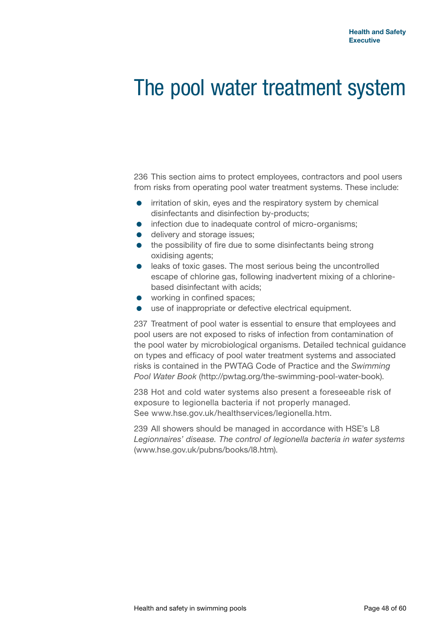## The pool water treatment system

236 This section aims to protect employees, contractors and pool users from risks from operating pool water treatment systems. These include:

- **•** irritation of skin, eyes and the respiratory system by chemical disinfectants and disinfection by-products;
- infection due to inadequate control of micro-organisms;
- **e** delivery and storage issues;
- the possibility of fire due to some disinfectants being strong oxidising agents;
- **e** leaks of toxic gases. The most serious being the uncontrolled escape of chlorine gas, following inadvertent mixing of a chlorinebased disinfectant with acids;
- working in confined spaces;
- use of inappropriate or defective electrical equipment.

237 Treatment of pool water is essential to ensure that employees and pool users are not exposed to risks of infection from contamination of the pool water by microbiological organisms. Detailed technical guidance on types and efficacy of pool water treatment systems and associated risks is contained in the PWTAG Code of Practice and the *Swimming Pool Water Book* [\(http://pwtag.org/the](http://pwtag.org/the)-swimming-pool-water-book).

238 Hot and cold water systems also present a foreseeable risk of exposure to legionella bacteria if not properly managed. See <www.hse.gov.uk/healthservices/legionella.htm>.

239 All showers should be managed in accordance with HSE's L8 *Legionnaires' disease. The control of legionella bacteria in water systems*  [\(www.hse.gov.uk/pubns/books/l8.htm\)](www.hse.gov.uk/pubns/books/l8.htm).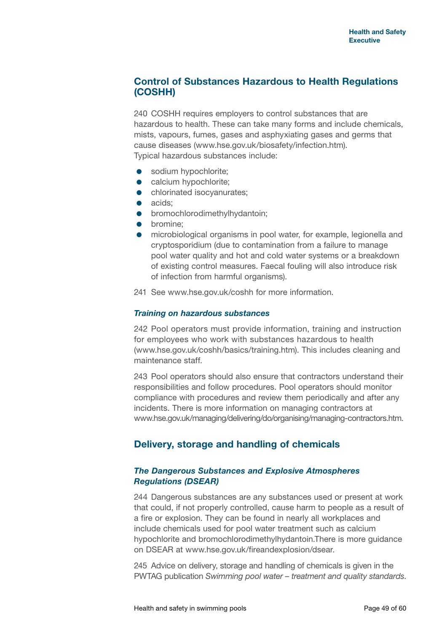## **Control of Substances Hazardous to Health Regulations (COSHH)**

240 COSHH requires employers to control substances that are hazardous to health. These can take many forms and include chemicals, mists, vapours, fumes, gases and asphyxiating gases and germs that cause diseases [\(www.hse.gov.uk/biosafety/infection.htm](www.hse.gov.uk/biosafety/infection.htm)). Typical hazardous substances include:

- **•** sodium hypochlorite;
- **•** calcium hypochlorite;
- **•** chlorinated isocyanurates;
- acids:
- **•** bromochlorodimethylhydantoin:
- **•** bromine:
- microbiological organisms in pool water, for example, legionella and cryptosporidium (due to contamination from a failure to manage pool water quality and hot and cold water systems or a breakdown of existing control measures. Faecal fouling will also introduce risk of infection from harmful organisms).
- 241 See <www.hse.gov.uk/coshh>for more information.

#### *Training on hazardous substances*

242 Pool operators must provide information, training and instruction for employees who work with substances hazardous to health [\(www.hse.gov.uk/coshh/basics/training.htm\)](www.hse.gov.uk/coshh/basics/training.htm). This includes cleaning and maintenance staff.

243 Pool operators should also ensure that contractors understand their responsibilities and follow procedures. Pool operators should monitor compliance with procedures and review them periodically and after any incidents. There is more information on managing contractors at [www.hse.gov.uk/managing/delivering/do/organising/managing-contractors.htm.](www.hse.gov.uk/managing/delivering/do/organising/managing-contractors.htm)

## **Delivery, storage and handling of chemicals**

#### *The Dangerous Substances and Explosive Atmospheres Regulations (DSEAR)*

244 Dangerous substances are any substances used or present at work that could, if not properly controlled, cause harm to people as a result of a fire or explosion. They can be found in nearly all workplaces and include chemicals used for pool water treatment such as calcium hypochlorite and<bromochlorodimethylhydantoin.There> is more guidance on DSEAR at [www.hse.gov.uk/fireandexplosion/dsear.](www.hse.gov.uk/fireandexplosion/dsear)

245 Advice on delivery, storage and handling of chemicals is given in the PWTAG publication *Swimming pool water – treatment and quality standards*.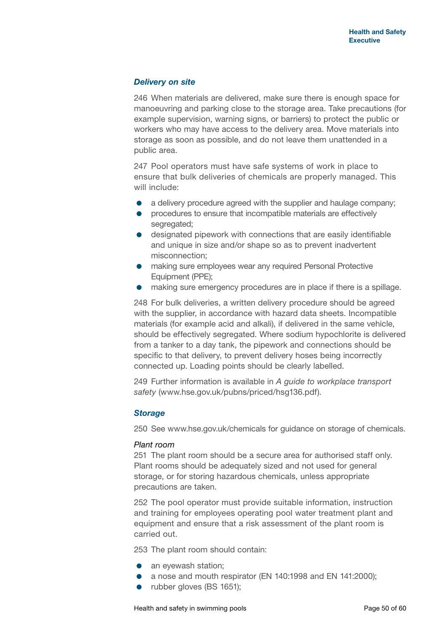#### *Delivery on site*

246 When materials are delivered, make sure there is enough space for manoeuvring and parking close to the storage area. Take precautions (for example supervision, warning signs, or barriers) to protect the public or workers who may have access to the delivery area. Move materials into storage as soon as possible, and do not leave them unattended in a public area.

247 Pool operators must have safe systems of work in place to ensure that bulk deliveries of chemicals are properly managed. This will include:

- a delivery procedure agreed with the supplier and haulage company;
- **•** procedures to ensure that incompatible materials are effectively segregated;
- designated pipework with connections that are easily identifiable and unique in size and/or shape so as to prevent inadvertent misconnection;
- making sure employees wear any required Personal Protective Equipment (PPE);
- making sure emergency procedures are in place if there is a spillage.

248 For bulk deliveries, a written delivery procedure should be agreed with the supplier, in accordance with hazard data sheets. Incompatible materials (for example acid and alkali), if delivered in the same vehicle, should be effectively segregated. Where sodium hypochlorite is delivered from a tanker to a day tank, the pipework and connections should be specific to that delivery, to prevent delivery hoses being incorrectly connected up. Loading points should be clearly labelled.

249 Further information is available in *A guide to workplace transport safety* [\(www.hse.gov.uk/pubns/priced/hsg136.pdf\)](www.hse.gov.uk/pubns/priced/hsg136.pdf).

#### *Storage*

250 See<www.hse.gov.uk/chemicals> for guidance on storage of chemicals.

#### *Plant room*

251 The plant room should be a secure area for authorised staff only. Plant rooms should be adequately sized and not used for general storage, or for storing hazardous chemicals, unless appropriate precautions are taken.

252 The pool operator must provide suitable information, instruction and training for employees operating pool water treatment plant and equipment and ensure that a risk assessment of the plant room is carried out.

253 The plant room should contain:

- an eyewash station;
- a nose and mouth respirator (EN 140:1998 and EN 141:2000);
- rubber gloves (BS 1651);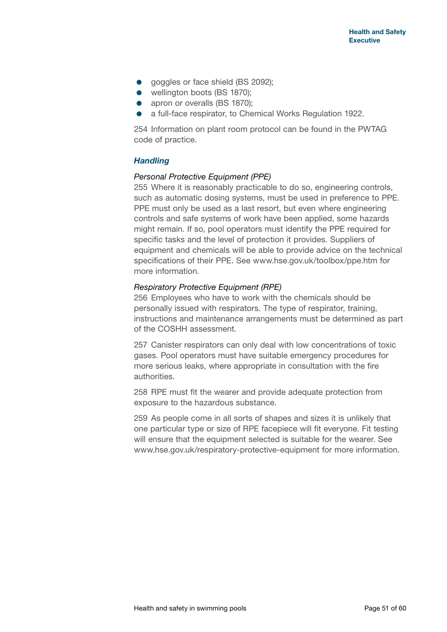- qoggles or face shield (BS 2092);
- wellington boots (BS 1870);
- apron or overalls (BS 1870):
- a full-face respirator, to Chemical Works Regulation 1922.

254 Information on plant room protocol can be found in the PWTAG code of practice.

#### *Handling*

#### *Personal Protective Equipment (PPE)*

255 Where it is reasonably practicable to do so, engineering controls, such as automatic dosing systems, must be used in preference to PPE. PPE must only be used as a last resort, but even where engineering controls and safe systems of work have been applied, some hazards might remain. If so, pool operators must identify the PPE required for specific tasks and the level of protection it provides. Suppliers of equipment and chemicals will be able to provide advice on the technical specifications of their PPE. See <www.hse.gov.uk/toolbox/ppe.htm>for more information.

#### *Respiratory Protective Equipment (RPE)*

256 Employees who have to work with the chemicals should be personally issued with respirators. The type of respirator, training, instructions and maintenance arrangements must be determined as part of the COSHH assessment.

257 Canister respirators can only deal with low concentrations of toxic gases. Pool operators must have suitable emergency procedures for more serious leaks, where appropriate in consultation with the fire authorities.

258 RPE must fit the wearer and provide adequate protection from exposure to the hazardous substance.

259 As people come in all sorts of shapes and sizes it is unlikely that one particular type or size of RPE facepiece will fit everyone. Fit testing will ensure that the equipment selected is suitable for the wearer. See <www.hse.gov.uk/respiratory>-protective-equipment for more information.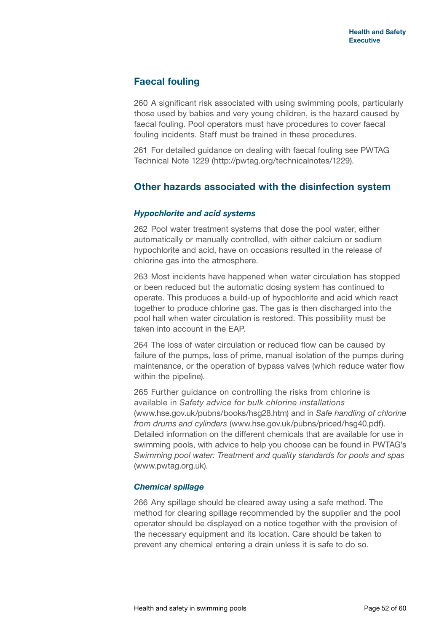## **Faecal fouling**

260 A significant risk associated with using swimming pools, particularly those used by babies and very young children, is the hazard caused by faecal fouling. Pool operators must have procedures to cover faecal fouling incidents. Staff must be trained in these procedures.

261 For detailed guidance on dealing with faecal fouling see PWTAG Technical Note 1229 [\(http://pwtag.org/technicalnotes/1229](http://pwtag.org/technicalnotes/1229)).

#### **Other hazards associated with the disinfection system**

#### *Hypochlorite and acid systems*

262 Pool water treatment systems that dose the pool water, either automatically or manually controlled, with either calcium or sodium hypochlorite and acid, have on occasions resulted in the release of chlorine gas into the atmosphere.

263 Most incidents have happened when water circulation has stopped or been reduced but the automatic dosing system has continued to operate. This produces a build-up of hypochlorite and acid which react together to produce chlorine gas. The gas is then discharged into the pool hall when water circulation is restored. This possibility must be taken into account in the EAP.

264 The loss of water circulation or reduced flow can be caused by failure of the pumps, loss of prime, manual isolation of the pumps during maintenance, or the operation of bypass valves (which reduce water flow within the pipeline).

265 Further guidance on controlling the risks from chlorine is available in *Safety advice for bulk chlorine installations* [\(www.hse.gov.uk/pubns/books/hsg28.htm\)](www.hse.gov.uk/pubns/books/hsg28.htm) and in *Safe handling of chlorine from drums and cylinders* [\(www.hse.gov.uk/pubns/priced/hsg40.pdf\)](www.hse.gov.uk/pubns/priced/hsg40.pdf). Detailed information on the different chemicals that are available for use in swimming pools, with advice to help you choose can be found in PWTAG's *Swimming pool water: Treatment and quality standards for pools and spas* [\(www.pwtag.org.uk\)](www.pwtag.org.uk).

#### *Chemical spillage*

266 Any spillage should be cleared away using a safe method. The method for clearing spillage recommended by the supplier and the pool operator should be displayed on a notice together with the provision of the necessary equipment and its location. Care should be taken to prevent any chemical entering a drain unless it is safe to do so.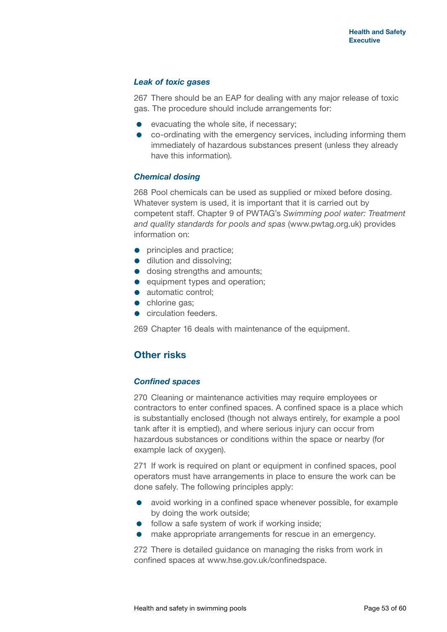#### *Leak of toxic gases*

267 There should be an EAP for dealing with any major release of toxic gas. The procedure should include arrangements for:

- evacuating the whole site, if necessary;
- co-ordinating with the emergency services, including informing them immediately of hazardous substances present (unless they already have this information).

#### *Chemical dosing*

268 Pool chemicals can be used as supplied or mixed before dosing. Whatever system is used, it is important that it is carried out by competent staff. Chapter 9 of PWTAG's *Swimming pool water: Treatment and quality standards for pools and spas* [\(www.pwtag.org.uk\)](www.pwtag.org.uk) provides information on:

- **•** principles and practice;
- dilution and dissolving:
- $\bullet$  dosing strengths and amounts;
- $\bullet$  equipment types and operation;
- automatic control:
- chlorine gas;
- **circulation feeders.**

269 Chapter 16 deals with maintenance of the equipment.

## **Other risks**

#### *Confined spaces*

270 Cleaning or maintenance activities may require employees or contractors to enter confined spaces. A confined space is a place which is substantially enclosed (though not always entirely, for example a pool tank after it is emptied), and where serious injury can occur from hazardous substances or conditions within the space or nearby (for example lack of oxygen).

271 If work is required on plant or equipment in confined spaces, pool operators must have arrangements in place to ensure the work can be done safely. The following principles apply:

- avoid working in a confined space whenever possible, for example by doing the work outside;
- **•** follow a safe system of work if working inside:
- make appropriate arrangements for rescue in an emergency.

272 There is detailed guidance on managing the risks from work in confined spaces at <www.hse.gov.uk/confinedspace>.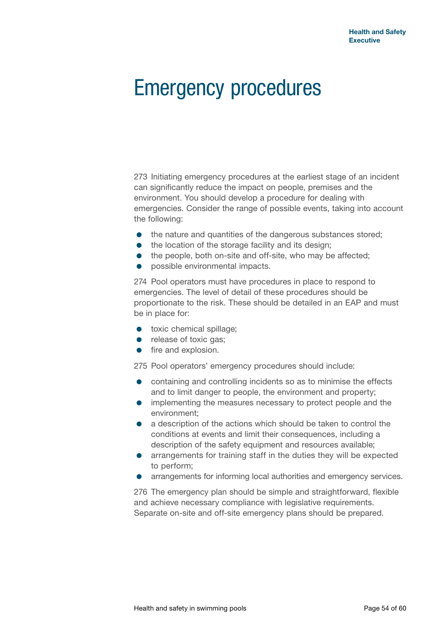## Emergency procedures

273 Initiating emergency procedures at the earliest stage of an incident can significantly reduce the impact on people, premises and the environment. You should develop a procedure for dealing with emergencies. Consider the range of possible events, taking into account the following:

- $\bullet$  the nature and quantities of the dangerous substances stored;
- the location of the storage facility and its design:
- the people, both on-site and off-site, who may be affected;
- **•** possible environmental impacts.

274 Pool operators must have procedures in place to respond to emergencies. The level of detail of these procedures should be proportionate to the risk. These should be detailed in an EAP and must be in place for:

- **toxic chemical spillage;**
- release of toxic gas;
- **•** fire and explosion.

275 Pool operators' emergency procedures should include:

- **•** containing and controlling incidents so as to minimise the effects and to limit danger to people, the environment and property;
- implementing the measures necessary to protect people and the environment;
- a description of the actions which should be taken to control the conditions at events and limit their consequences, including a description of the safety equipment and resources available;
- **•** arrangements for training staff in the duties they will be expected to perform;
- arrangements for informing local authorities and emergency services.

276 The emergency plan should be simple and straightforward, flexible and achieve necessary compliance with legislative requirements. Separate on-site and off-site emergency plans should be prepared.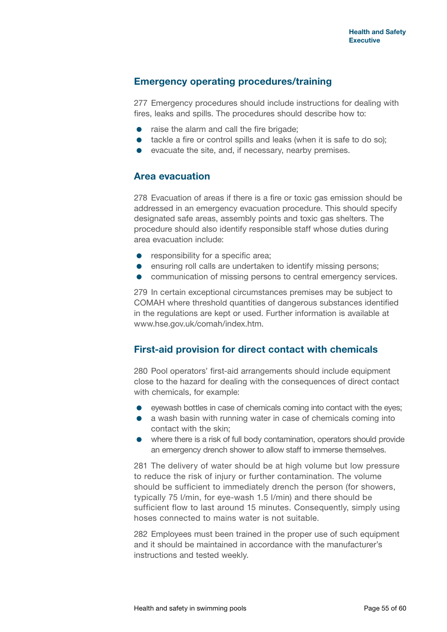#### **Emergency operating procedures/training**

277 Emergency procedures should include instructions for dealing with fires, leaks and spills. The procedures should describe how to:

- raise the alarm and call the fire brigade;
- tackle a fire or control spills and leaks (when it is safe to do so);
- evacuate the site, and, if necessary, nearby premises.

#### **Area evacuation**

278 Evacuation of areas if there is a fire or toxic gas emission should be addressed in an emergency evacuation procedure. This should specify designated safe areas, assembly points and toxic gas shelters. The procedure should also identify responsible staff whose duties during area evacuation include:

- **•** responsibility for a specific area;
- **e** ensuring roll calls are undertaken to identify missing persons;
- communication of missing persons to central emergency services.

279 In certain exceptional circumstances premises may be subject to COMAH where threshold quantities of dangerous substances identified in the regulations are kept or used. Further information is available at <www.hse.gov.uk/comah/index.htm>.

## **First-aid provision for direct contact with chemicals**

280 Pool operators' first-aid arrangements should include equipment close to the hazard for dealing with the consequences of direct contact with chemicals, for example:

- eyewash bottles in case of chemicals coming into contact with the eyes;
- a wash basin with running water in case of chemicals coming into contact with the skin;
- where there is a risk of full body contamination, operators should provide an emergency drench shower to allow staff to immerse themselves.

281 The delivery of water should be at high volume but low pressure to reduce the risk of injury or further contamination. The volume should be sufficient to immediately drench the person (for showers, typically 75 l/min, for eye-wash 1.5 l/min) and there should be sufficient flow to last around 15 minutes. Consequently, simply using hoses connected to mains water is not suitable.

282 Employees must been trained in the proper use of such equipment and it should be maintained in accordance with the manufacturer's instructions and tested weekly.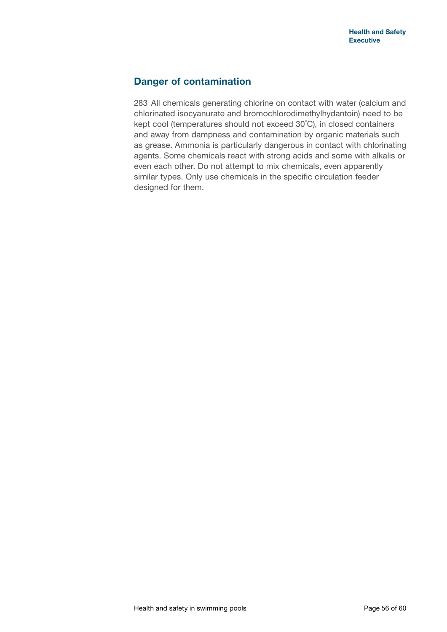## **Danger of contamination**

283 All chemicals generating chlorine on contact with water (calcium and chlorinated isocyanurate and bromochlorodimethylhydantoin) need to be kept cool (temperatures should not exceed 30˚C), in closed containers and away from dampness and contamination by organic materials such as grease. Ammonia is particularly dangerous in contact with chlorinating agents. Some chemicals react with strong acids and some with alkalis or even each other. Do not attempt to mix chemicals, even apparently similar types. Only use chemicals in the specific circulation feeder designed for them.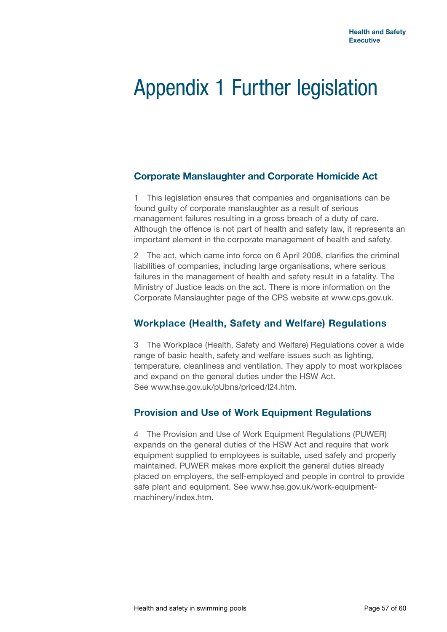## Appendix 1 Further legislation

## **Corporate Manslaughter and Corporate Homicide Act**

1 This legislation ensures that companies and organisations can be found guilty of corporate manslaughter as a result of serious management failures resulting in a gross breach of a duty of care. Although the offence is not part of health and safety law, it represents an important element in the corporate management of health and safety.

2 The act, which came into force on 6 April 2008, clarifies the criminal liabilities of companies, including large organisations, where serious failures in the management of health and safety result in a fatality. The Ministry of Justice leads on the act. There is more information on the Corporate Manslaughter page of the CPS website at [www.cps.gov.uk.](www.cps.gov.uk)

## **Workplace (Health, Safety and Welfare) Regulations**

3 The Workplace (Health, Safety and Welfare) Regulations cover a wide range of basic health, safety and welfare issues such as lighting, temperature, cleanliness and ventilation. They apply to most workplaces and expand on the general duties under the HSW Act. See <www.hse.gov.uk/pUbns/priced/l24.htm>.

## **Provision and Use of Work Equipment Regulations**

4 The Provision and Use of Work Equipment Regulations (PUWER) expands on the general duties of the HSW Act and require that work equipment supplied to employees is suitable, used safely and properly maintained. PUWER makes more explicit the general duties already placed on employers, the self-employed and people in control to provide safe plant and equipment. See [www.hse.gov.uk/work-equipment](www.hse.gov.uk/work-equipment-machinery/index.htm)[machinery/index.htm.](www.hse.gov.uk/work-equipment-machinery/index.htm)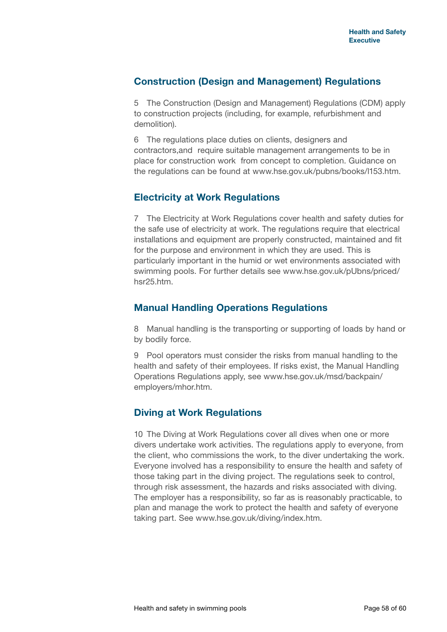## **Construction (Design and Management) Regulations**

5 The Construction (Design and Management) Regulations (CDM) apply to construction projects (including, for example, refurbishment and demolition).

6 The regulations place duties on clients, designers and contractors,and require suitable management arrangements to be in place for construction work from concept to completion. Guidance on the regulations can be found at<www.hse.gov.uk/pubns/books/l153.htm>.

## **Electricity at Work Regulations**

7 The Electricity at Work Regulations cover health and safety duties for the safe use of electricity at work. The regulations require that electrical installations and equipment are properly constructed, maintained and fit for the purpose and environment in which they are used. This is particularly important in the humid or wet environments associated with swimming pools. For further details see [www.hse.gov.uk/pUbns/priced/](www.hse.gov.uk/pUbns/priced/hsr25.htm) [hsr25.htm.](www.hse.gov.uk/pUbns/priced/hsr25.htm)

## **Manual Handling Operations Regulations**

8 Manual handling is the transporting or supporting of loads by hand or by bodily force.

9 Pool operators must consider the risks from manual handling to the health and safety of their employees. If risks exist, the Manual Handling Operations Regulations apply, see [www.hse.gov.uk/msd/backpain/](www.hse.gov.uk/msd/backpain/employers/mhor.htm) [employers/mhor.htm.](www.hse.gov.uk/msd/backpain/employers/mhor.htm)

## **Diving at Work Regulations**

10 The Diving at Work Regulations cover all dives when one or more divers undertake work activities. The regulations apply to everyone, from the client, who commissions the work, to the diver undertaking the work. Everyone involved has a responsibility to ensure the health and safety of those taking part in the diving project. The regulations seek to control, through risk assessment, the hazards and risks associated with diving. The employer has a responsibility, so far as is reasonably practicable, to plan and manage the work to protect the health and safety of everyone taking part. See <www.hse.gov.uk/diving/index.htm>.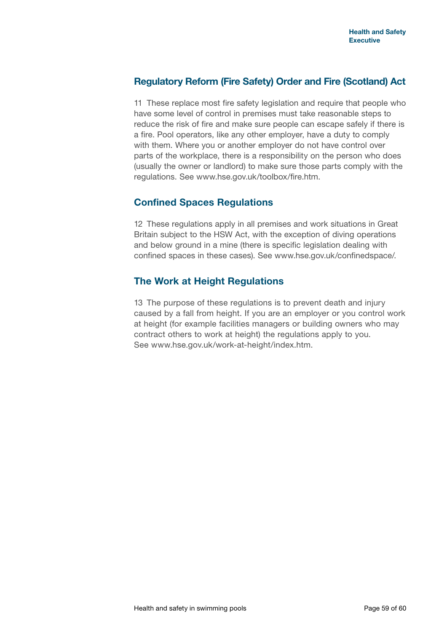## **Regulatory Reform (Fire Safety) Order and Fire (Scotland) Act**

11 These replace most fire safety legislation and require that people who have some level of control in premises must take reasonable steps to reduce the risk of fire and make sure people can escape safely if there is a fire. Pool operators, like any other employer, have a duty to comply with them. Where you or another employer do not have control over parts of the workplace, there is a responsibility on the person who does (usually the owner or landlord) to make sure those parts comply with the regulations. See [www.hse.gov.uk/toolbox/fire.htm.](www.hse.gov.uk/toolbox/fire.htm)

## **Confined Spaces Regulations**

12 These regulations apply in all premises and work situations in Great Britain subject to the HSW Act, with the exception of diving operations and below ground in a mine (there is specific legislation dealing with confined spaces in these cases). See <www.hse.gov.uk/confinedspace>/.

## **The Work at Height Regulations**

13 The purpose of these regulations is to prevent death and injury caused by a fall from height. If you are an employer or you control work at height (for example facilities managers or building owners who may contract others to work at height) the regulations apply to you. See [www.hse.gov.uk/work-at-height/index.htm.](www.hse.gov.uk/work-at-height/index.htm)